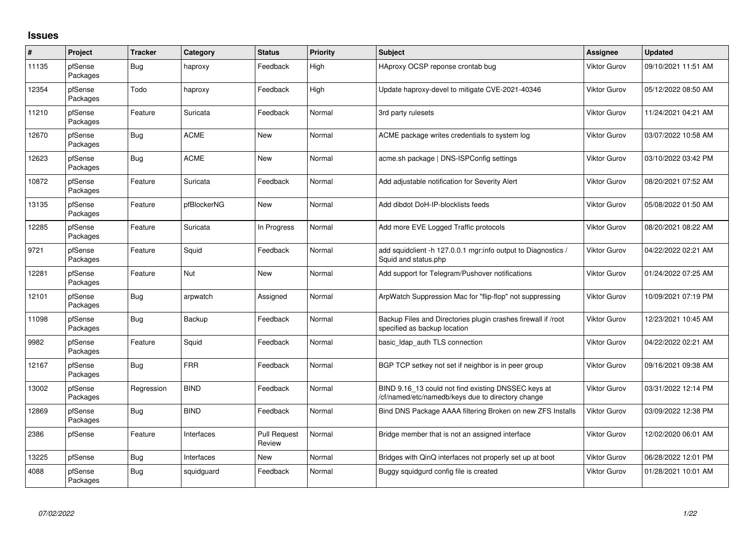## **Issues**

| #     | Project             | <b>Tracker</b> | Category    | <b>Status</b>                 | <b>Priority</b> | <b>Subject</b>                                                                                           | <b>Assignee</b>     | <b>Updated</b>      |
|-------|---------------------|----------------|-------------|-------------------------------|-----------------|----------------------------------------------------------------------------------------------------------|---------------------|---------------------|
| 11135 | pfSense<br>Packages | Bug            | haproxy     | Feedback                      | High            | HAproxy OCSP reponse crontab bug                                                                         | Viktor Gurov        | 09/10/2021 11:51 AM |
| 12354 | pfSense<br>Packages | Todo           | haproxy     | Feedback                      | High            | Update haproxy-devel to mitigate CVE-2021-40346                                                          | Viktor Gurov        | 05/12/2022 08:50 AM |
| 11210 | pfSense<br>Packages | Feature        | Suricata    | Feedback                      | Normal          | 3rd party rulesets                                                                                       | <b>Viktor Gurov</b> | 11/24/2021 04:21 AM |
| 12670 | pfSense<br>Packages | Bug            | ACME        | <b>New</b>                    | Normal          | ACME package writes credentials to system log                                                            | Viktor Gurov        | 03/07/2022 10:58 AM |
| 12623 | pfSense<br>Packages | Bug            | <b>ACME</b> | <b>New</b>                    | Normal          | acme.sh package   DNS-ISPConfig settings                                                                 | Viktor Gurov        | 03/10/2022 03:42 PM |
| 10872 | pfSense<br>Packages | Feature        | Suricata    | Feedback                      | Normal          | Add adjustable notification for Severity Alert                                                           | Viktor Gurov        | 08/20/2021 07:52 AM |
| 13135 | pfSense<br>Packages | Feature        | pfBlockerNG | <b>New</b>                    | Normal          | Add dibdot DoH-IP-blocklists feeds                                                                       | <b>Viktor Gurov</b> | 05/08/2022 01:50 AM |
| 12285 | pfSense<br>Packages | Feature        | Suricata    | In Progress                   | Normal          | Add more EVE Logged Traffic protocols                                                                    | <b>Viktor Gurov</b> | 08/20/2021 08:22 AM |
| 9721  | pfSense<br>Packages | Feature        | Squid       | Feedback                      | Normal          | add squidclient -h 127.0.0.1 mgr:info output to Diagnostics /<br>Squid and status.php                    | <b>Viktor Gurov</b> | 04/22/2022 02:21 AM |
| 12281 | pfSense<br>Packages | Feature        | <b>Nut</b>  | <b>New</b>                    | Normal          | Add support for Telegram/Pushover notifications                                                          | <b>Viktor Gurov</b> | 01/24/2022 07:25 AM |
| 12101 | pfSense<br>Packages | Bug            | arpwatch    | Assigned                      | Normal          | ArpWatch Suppression Mac for "flip-flop" not suppressing                                                 | <b>Viktor Gurov</b> | 10/09/2021 07:19 PM |
| 11098 | pfSense<br>Packages | Bug            | Backup      | Feedback                      | Normal          | Backup Files and Directories plugin crashes firewall if /root<br>specified as backup location            | Viktor Gurov        | 12/23/2021 10:45 AM |
| 9982  | pfSense<br>Packages | Feature        | Squid       | Feedback                      | Normal          | basic_Idap_auth TLS connection                                                                           | Viktor Gurov        | 04/22/2022 02:21 AM |
| 12167 | pfSense<br>Packages | Bug            | <b>FRR</b>  | Feedback                      | Normal          | BGP TCP setkey not set if neighbor is in peer group                                                      | Viktor Gurov        | 09/16/2021 09:38 AM |
| 13002 | pfSense<br>Packages | Regression     | <b>BIND</b> | Feedback                      | Normal          | BIND 9.16_13 could not find existing DNSSEC keys at<br>/cf/named/etc/namedb/keys due to directory change | <b>Viktor Gurov</b> | 03/31/2022 12:14 PM |
| 12869 | pfSense<br>Packages | <b>Bug</b>     | <b>BIND</b> | Feedback                      | Normal          | Bind DNS Package AAAA filtering Broken on new ZFS Installs                                               | Viktor Gurov        | 03/09/2022 12:38 PM |
| 2386  | pfSense             | Feature        | Interfaces  | <b>Pull Request</b><br>Review | Normal          | Bridge member that is not an assigned interface                                                          | Viktor Gurov        | 12/02/2020 06:01 AM |
| 13225 | pfSense             | Bug            | Interfaces  | <b>New</b>                    | Normal          | Bridges with QinQ interfaces not properly set up at boot                                                 | <b>Viktor Gurov</b> | 06/28/2022 12:01 PM |
| 4088  | pfSense<br>Packages | Bug            | squidguard  | Feedback                      | Normal          | Buggy squidgurd config file is created                                                                   | <b>Viktor Gurov</b> | 01/28/2021 10:01 AM |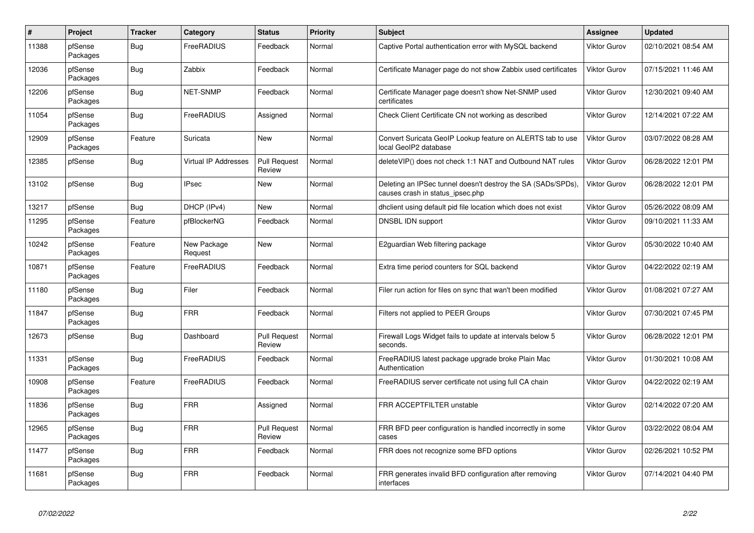| $\#$  | Project             | <b>Tracker</b> | Category                    | <b>Status</b>                 | <b>Priority</b> | <b>Subject</b>                                                                                   | <b>Assignee</b>     | <b>Updated</b>      |
|-------|---------------------|----------------|-----------------------------|-------------------------------|-----------------|--------------------------------------------------------------------------------------------------|---------------------|---------------------|
| 11388 | pfSense<br>Packages | Bug            | FreeRADIUS                  | Feedback                      | Normal          | Captive Portal authentication error with MySQL backend                                           | Viktor Gurov        | 02/10/2021 08:54 AM |
| 12036 | pfSense<br>Packages | Bug            | Zabbix                      | Feedback                      | Normal          | Certificate Manager page do not show Zabbix used certificates                                    | Viktor Gurov        | 07/15/2021 11:46 AM |
| 12206 | pfSense<br>Packages | <b>Bug</b>     | <b>NET-SNMP</b>             | Feedback                      | Normal          | Certificate Manager page doesn't show Net-SNMP used<br>certificates                              | <b>Viktor Gurov</b> | 12/30/2021 09:40 AM |
| 11054 | pfSense<br>Packages | <b>Bug</b>     | FreeRADIUS                  | Assigned                      | Normal          | Check Client Certificate CN not working as described                                             | Viktor Gurov        | 12/14/2021 07:22 AM |
| 12909 | pfSense<br>Packages | Feature        | Suricata                    | New                           | Normal          | Convert Suricata GeoIP Lookup feature on ALERTS tab to use<br>local GeoIP2 database              | Viktor Gurov        | 03/07/2022 08:28 AM |
| 12385 | pfSense             | <b>Bug</b>     | <b>Virtual IP Addresses</b> | <b>Pull Request</b><br>Review | Normal          | delete VIP() does not check 1:1 NAT and Outbound NAT rules                                       | Viktor Gurov        | 06/28/2022 12:01 PM |
| 13102 | pfSense             | <b>Bug</b>     | <b>IPsec</b>                | New                           | Normal          | Deleting an IPSec tunnel doesn't destroy the SA (SADs/SPDs),<br>causes crash in status ipsec.php | Viktor Gurov        | 06/28/2022 12:01 PM |
| 13217 | pfSense             | Bug            | DHCP (IPv4)                 | <b>New</b>                    | Normal          | dhclient using default pid file location which does not exist                                    | <b>Viktor Gurov</b> | 05/26/2022 08:09 AM |
| 11295 | pfSense<br>Packages | Feature        | pfBlockerNG                 | Feedback                      | Normal          | DNSBL IDN support                                                                                | Viktor Gurov        | 09/10/2021 11:33 AM |
| 10242 | pfSense<br>Packages | Feature        | New Package<br>Request      | New                           | Normal          | E2guardian Web filtering package                                                                 | Viktor Gurov        | 05/30/2022 10:40 AM |
| 10871 | pfSense<br>Packages | Feature        | FreeRADIUS                  | Feedback                      | Normal          | Extra time period counters for SQL backend                                                       | Viktor Gurov        | 04/22/2022 02:19 AM |
| 11180 | pfSense<br>Packages | <b>Bug</b>     | Filer                       | Feedback                      | Normal          | Filer run action for files on sync that wan't been modified                                      | Viktor Gurov        | 01/08/2021 07:27 AM |
| 11847 | pfSense<br>Packages | Bug            | <b>FRR</b>                  | Feedback                      | Normal          | Filters not applied to PEER Groups                                                               | Viktor Gurov        | 07/30/2021 07:45 PM |
| 12673 | pfSense             | <b>Bug</b>     | Dashboard                   | <b>Pull Request</b><br>Review | Normal          | Firewall Logs Widget fails to update at intervals below 5<br>seconds.                            | Viktor Gurov        | 06/28/2022 12:01 PM |
| 11331 | pfSense<br>Packages | Bug            | FreeRADIUS                  | Feedback                      | Normal          | FreeRADIUS latest package upgrade broke Plain Mac<br>Authentication                              | Viktor Gurov        | 01/30/2021 10:08 AM |
| 10908 | pfSense<br>Packages | Feature        | FreeRADIUS                  | Feedback                      | Normal          | FreeRADIUS server certificate not using full CA chain                                            | <b>Viktor Gurov</b> | 04/22/2022 02:19 AM |
| 11836 | pfSense<br>Packages | Bug            | <b>FRR</b>                  | Assigned                      | Normal          | FRR ACCEPTFILTER unstable                                                                        | Viktor Gurov        | 02/14/2022 07:20 AM |
| 12965 | pfSense<br>Packages | <b>Bug</b>     | <b>FRR</b>                  | <b>Pull Request</b><br>Review | Normal          | FRR BFD peer configuration is handled incorrectly in some<br>cases                               | Viktor Gurov        | 03/22/2022 08:04 AM |
| 11477 | pfSense<br>Packages | Bug            | <b>FRR</b>                  | Feedback                      | Normal          | FRR does not recognize some BFD options                                                          | Viktor Gurov        | 02/26/2021 10:52 PM |
| 11681 | pfSense<br>Packages | Bug            | <b>FRR</b>                  | Feedback                      | Normal          | FRR generates invalid BFD configuration after removing<br>interfaces                             | Viktor Gurov        | 07/14/2021 04:40 PM |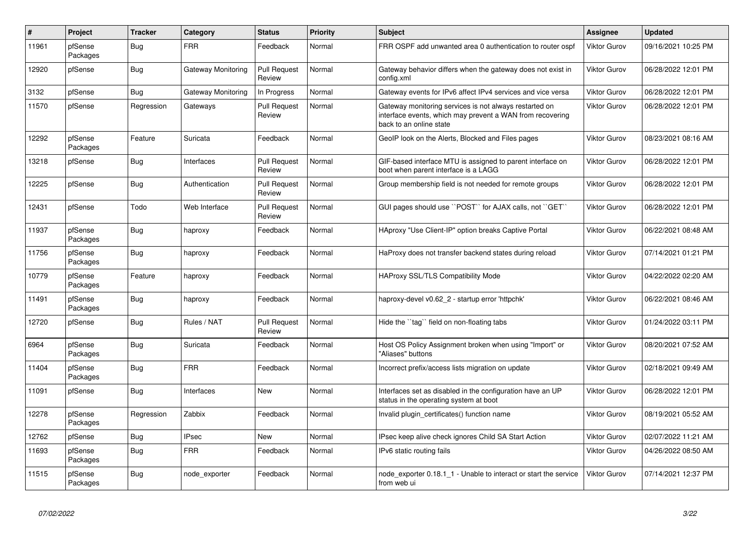| $\sharp$ | Project             | <b>Tracker</b> | Category           | <b>Status</b>                 | Priority | <b>Subject</b>                                                                                                                                 | Assignee     | <b>Updated</b>      |
|----------|---------------------|----------------|--------------------|-------------------------------|----------|------------------------------------------------------------------------------------------------------------------------------------------------|--------------|---------------------|
| 11961    | pfSense<br>Packages | <b>Bug</b>     | <b>FRR</b>         | Feedback                      | Normal   | FRR OSPF add unwanted area 0 authentication to router ospf                                                                                     | Viktor Gurov | 09/16/2021 10:25 PM |
| 12920    | pfSense             | Bug            | Gateway Monitoring | <b>Pull Request</b><br>Review | Normal   | Gateway behavior differs when the gateway does not exist in<br>config.xml                                                                      | Viktor Gurov | 06/28/2022 12:01 PM |
| 3132     | pfSense             | <b>Bug</b>     | Gateway Monitoring | In Progress                   | Normal   | Gateway events for IPv6 affect IPv4 services and vice versa                                                                                    | Viktor Gurov | 06/28/2022 12:01 PM |
| 11570    | pfSense             | Regression     | Gateways           | <b>Pull Request</b><br>Review | Normal   | Gateway monitoring services is not always restarted on<br>interface events, which may prevent a WAN from recovering<br>back to an online state | Viktor Gurov | 06/28/2022 12:01 PM |
| 12292    | pfSense<br>Packages | Feature        | Suricata           | Feedback                      | Normal   | GeoIP look on the Alerts, Blocked and Files pages                                                                                              | Viktor Gurov | 08/23/2021 08:16 AM |
| 13218    | pfSense             | <b>Bug</b>     | Interfaces         | <b>Pull Request</b><br>Review | Normal   | GIF-based interface MTU is assigned to parent interface on<br>boot when parent interface is a LAGG                                             | Viktor Gurov | 06/28/2022 12:01 PM |
| 12225    | pfSense             | Bug            | Authentication     | <b>Pull Request</b><br>Review | Normal   | Group membership field is not needed for remote groups                                                                                         | Viktor Gurov | 06/28/2022 12:01 PM |
| 12431    | pfSense             | Todo           | Web Interface      | <b>Pull Request</b><br>Review | Normal   | GUI pages should use "POST" for AJAX calls, not "GET"                                                                                          | Viktor Gurov | 06/28/2022 12:01 PM |
| 11937    | pfSense<br>Packages | Bug            | haproxy            | Feedback                      | Normal   | HAproxy "Use Client-IP" option breaks Captive Portal                                                                                           | Viktor Gurov | 06/22/2021 08:48 AM |
| 11756    | pfSense<br>Packages | Bug            | haproxy            | Feedback                      | Normal   | HaProxy does not transfer backend states during reload                                                                                         | Viktor Gurov | 07/14/2021 01:21 PM |
| 10779    | pfSense<br>Packages | Feature        | haproxy            | Feedback                      | Normal   | <b>HAProxy SSL/TLS Compatibility Mode</b>                                                                                                      | Viktor Gurov | 04/22/2022 02:20 AM |
| 11491    | pfSense<br>Packages | Bug            | haproxy            | Feedback                      | Normal   | haproxy-devel v0.62 2 - startup error 'httpchk'                                                                                                | Viktor Gurov | 06/22/2021 08:46 AM |
| 12720    | pfSense             | <b>Bug</b>     | Rules / NAT        | <b>Pull Request</b><br>Review | Normal   | Hide the "tag" field on non-floating tabs                                                                                                      | Viktor Gurov | 01/24/2022 03:11 PM |
| 6964     | pfSense<br>Packages | <b>Bug</b>     | Suricata           | Feedback                      | Normal   | Host OS Policy Assignment broken when using "Import" or<br>"Aliases" buttons                                                                   | Viktor Gurov | 08/20/2021 07:52 AM |
| 11404    | pfSense<br>Packages | Bug            | <b>FRR</b>         | Feedback                      | Normal   | Incorrect prefix/access lists migration on update                                                                                              | Viktor Gurov | 02/18/2021 09:49 AM |
| 11091    | pfSense             | <b>Bug</b>     | Interfaces         | <b>New</b>                    | Normal   | Interfaces set as disabled in the configuration have an UP<br>status in the operating system at boot                                           | Viktor Gurov | 06/28/2022 12:01 PM |
| 12278    | pfSense<br>Packages | Regression     | Zabbix             | Feedback                      | Normal   | Invalid plugin certificates() function name                                                                                                    | Viktor Gurov | 08/19/2021 05:52 AM |
| 12762    | pfSense             | Bug            | <b>IPsec</b>       | <b>New</b>                    | Normal   | IPsec keep alive check ignores Child SA Start Action                                                                                           | Viktor Gurov | 02/07/2022 11:21 AM |
| 11693    | pfSense<br>Packages | Bug            | <b>FRR</b>         | Feedback                      | Normal   | IPv6 static routing fails                                                                                                                      | Viktor Gurov | 04/26/2022 08:50 AM |
| 11515    | pfSense<br>Packages | Bug            | node exporter      | Feedback                      | Normal   | node exporter 0.18.1 1 - Unable to interact or start the service<br>from web ui                                                                | Viktor Gurov | 07/14/2021 12:37 PM |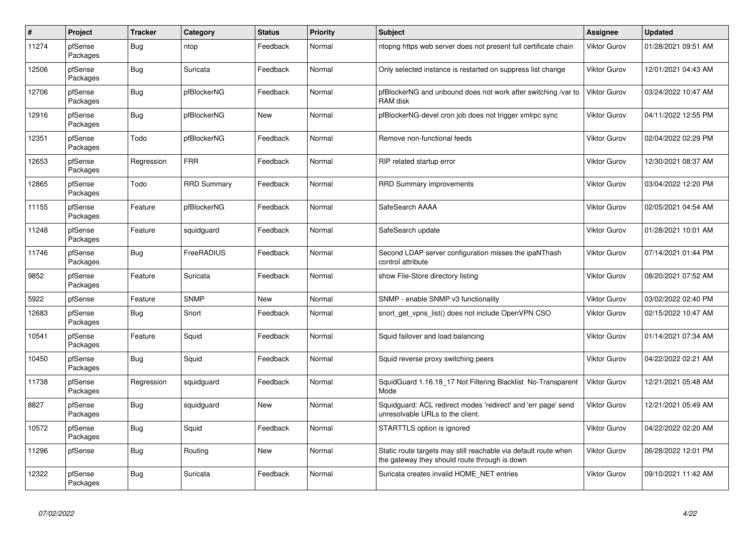| $\#$  | Project             | <b>Tracker</b> | Category           | <b>Status</b> | <b>Priority</b> | <b>Subject</b>                                                                                                   | Assignee            | <b>Updated</b>      |
|-------|---------------------|----------------|--------------------|---------------|-----------------|------------------------------------------------------------------------------------------------------------------|---------------------|---------------------|
| 11274 | pfSense<br>Packages | Bug            | ntop               | Feedback      | Normal          | ntopng https web server does not present full certificate chain                                                  | Viktor Gurov        | 01/28/2021 09:51 AM |
| 12506 | pfSense<br>Packages | <b>Bug</b>     | Suricata           | Feedback      | Normal          | Only selected instance is restarted on suppress list change                                                      | Viktor Gurov        | 12/01/2021 04:43 AM |
| 12706 | pfSense<br>Packages | Bug            | pfBlockerNG        | Feedback      | Normal          | pfBlockerNG and unbound does not work after switching /var to<br>RAM disk                                        | <b>Viktor Gurov</b> | 03/24/2022 10:47 AM |
| 12916 | pfSense<br>Packages | Bug            | pfBlockerNG        | <b>New</b>    | Normal          | pfBlockerNG-devel cron job does not trigger xmlrpc sync                                                          | Viktor Gurov        | 04/11/2022 12:55 PM |
| 12351 | pfSense<br>Packages | Todo           | pfBlockerNG        | Feedback      | Normal          | Remove non-functional feeds                                                                                      | Viktor Gurov        | 02/04/2022 02:29 PM |
| 12653 | pfSense<br>Packages | Regression     | <b>FRR</b>         | Feedback      | Normal          | RIP related startup error                                                                                        | Viktor Gurov        | 12/30/2021 08:37 AM |
| 12865 | pfSense<br>Packages | Todo           | <b>RRD Summary</b> | Feedback      | Normal          | <b>RRD Summary improvements</b>                                                                                  | Viktor Gurov        | 03/04/2022 12:20 PM |
| 11155 | pfSense<br>Packages | Feature        | pfBlockerNG        | Feedback      | Normal          | SafeSearch AAAA                                                                                                  | Viktor Gurov        | 02/05/2021 04:54 AM |
| 11248 | pfSense<br>Packages | Feature        | squidguard         | Feedback      | Normal          | SafeSearch update                                                                                                | Viktor Gurov        | 01/28/2021 10:01 AM |
| 11746 | pfSense<br>Packages | <b>Bug</b>     | FreeRADIUS         | Feedback      | Normal          | Second LDAP server configuration misses the ipaNThash<br>control attribute                                       | Viktor Gurov        | 07/14/2021 01:44 PM |
| 9852  | pfSense<br>Packages | Feature        | Suricata           | Feedback      | Normal          | show File-Store directory listing                                                                                | Viktor Gurov        | 08/20/2021 07:52 AM |
| 5922  | pfSense             | Feature        | <b>SNMP</b>        | <b>New</b>    | Normal          | SNMP - enable SNMP v3 functionality                                                                              | Viktor Gurov        | 03/02/2022 02:40 PM |
| 12683 | pfSense<br>Packages | <b>Bug</b>     | Snort              | Feedback      | Normal          | snort get vpns list() does not include OpenVPN CSO                                                               | Viktor Gurov        | 02/15/2022 10:47 AM |
| 10541 | pfSense<br>Packages | Feature        | Squid              | Feedback      | Normal          | Squid failover and load balancing                                                                                | Viktor Gurov        | 01/14/2021 07:34 AM |
| 10450 | pfSense<br>Packages | <b>Bug</b>     | Squid              | Feedback      | Normal          | Squid reverse proxy switching peers                                                                              | <b>Viktor Gurov</b> | 04/22/2022 02:21 AM |
| 11738 | pfSense<br>Packages | Regression     | squidguard         | Feedback      | Normal          | SquidGuard 1.16.18_17 Not Filtering Blacklist No-Transparent<br>Mode                                             | Viktor Gurov        | 12/21/2021 05:48 AM |
| 8827  | pfSense<br>Packages | <b>Bug</b>     | squidguard         | <b>New</b>    | Normal          | Squidguard: ACL redirect modes 'redirect' and 'err page' send<br>unresolvable URLs to the client.                | Viktor Gurov        | 12/21/2021 05:49 AM |
| 10572 | pfSense<br>Packages | <b>Bug</b>     | Squid              | Feedback      | Normal          | STARTTLS option is ignored                                                                                       | Viktor Gurov        | 04/22/2022 02:20 AM |
| 11296 | pfSense             | Bug            | Routing            | New           | Normal          | Static route targets may still reachable via default route when<br>the gateway they should route through is down | Viktor Gurov        | 06/28/2022 12:01 PM |
| 12322 | pfSense<br>Packages | <b>Bug</b>     | Suricata           | Feedback      | Normal          | Suricata creates invalid HOME_NET entries                                                                        | Viktor Gurov        | 09/10/2021 11:42 AM |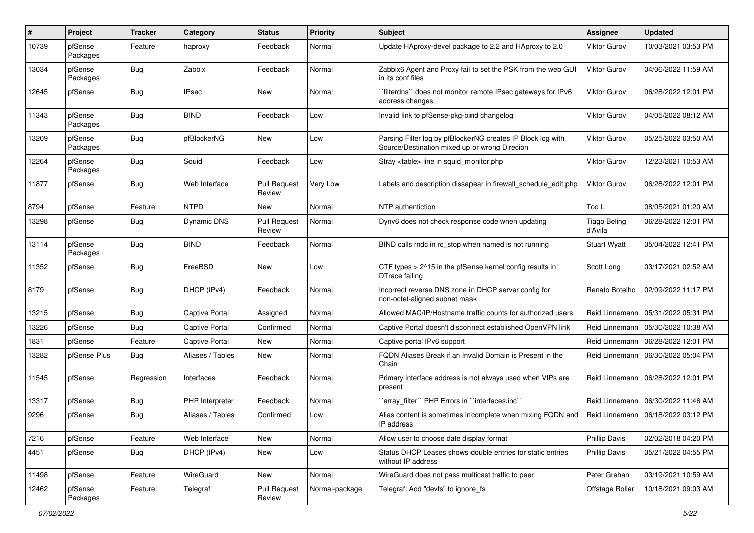| #     | Project             | <b>Tracker</b> | Category              | <b>Status</b>                 | <b>Priority</b> | <b>Subject</b>                                                                                               | <b>Assignee</b>                | <b>Updated</b>      |
|-------|---------------------|----------------|-----------------------|-------------------------------|-----------------|--------------------------------------------------------------------------------------------------------------|--------------------------------|---------------------|
| 10739 | pfSense<br>Packages | Feature        | haproxy               | Feedback                      | Normal          | Update HAproxy-devel package to 2.2 and HAproxy to 2.0                                                       | <b>Viktor Gurov</b>            | 10/03/2021 03:53 PM |
| 13034 | pfSense<br>Packages | Bug            | Zabbix                | Feedback                      | Normal          | Zabbix6 Agent and Proxy fail to set the PSK from the web GUI<br>in its conf files                            | Viktor Gurov                   | 04/06/2022 11:59 AM |
| 12645 | pfSense             | Bug            | <b>IPsec</b>          | New                           | Normal          | "filterdns" does not monitor remote IPsec gateways for IPv6<br>address changes                               | Viktor Gurov                   | 06/28/2022 12:01 PM |
| 11343 | pfSense<br>Packages | Bug            | <b>BIND</b>           | Feedback                      | Low             | Invalid link to pfSense-pkg-bind changelog                                                                   | <b>Viktor Gurov</b>            | 04/05/2022 08:12 AM |
| 13209 | pfSense<br>Packages | Bug            | pfBlockerNG           | New                           | Low             | Parsing Filter log by pfBlockerNG creates IP Block log with<br>Source/Destination mixed up or wrong Direcion | Viktor Gurov                   | 05/25/2022 03:50 AM |
| 12264 | pfSense<br>Packages | <b>Bug</b>     | Squid                 | Feedback                      | Low             | Stray <table> line in squid monitor.php</table>                                                              | <b>Viktor Gurov</b>            | 12/23/2021 10:53 AM |
| 11877 | pfSense             | Bug            | Web Interface         | <b>Pull Request</b><br>Review | Very Low        | Labels and description dissapear in firewall schedule edit.php                                               | Viktor Gurov                   | 06/28/2022 12:01 PM |
| 8794  | pfSense             | Feature        | <b>NTPD</b>           | <b>New</b>                    | Normal          | NTP authentiction                                                                                            | Tod L                          | 08/05/2021 01:20 AM |
| 13298 | pfSense             | Bug            | Dynamic DNS           | <b>Pull Request</b><br>Review | Normal          | Dynv6 does not check response code when updating                                                             | <b>Tiago Beling</b><br>d'Avila | 06/28/2022 12:01 PM |
| 13114 | pfSense<br>Packages | Bug            | <b>BIND</b>           | Feedback                      | Normal          | BIND calls rndc in rc_stop when named is not running                                                         | <b>Stuart Wyatt</b>            | 05/04/2022 12:41 PM |
| 11352 | pfSense             | Bug            | FreeBSD               | New                           | Low             | CTF types > 2^15 in the pfSense kernel config results in<br>DTrace failing                                   | Scott Long                     | 03/17/2021 02:52 AM |
| 8179  | pfSense             | Bug            | DHCP (IPv4)           | Feedback                      | Normal          | Incorrect reverse DNS zone in DHCP server config for<br>non-octet-aligned subnet mask                        | Renato Botelho                 | 02/09/2022 11:17 PM |
| 13215 | pfSense             | Bug            | <b>Captive Portal</b> | Assigned                      | Normal          | Allowed MAC/IP/Hostname traffic counts for authorized users                                                  | Reid Linnemann                 | 05/31/2022 05:31 PM |
| 13226 | pfSense             | Bug            | <b>Captive Portal</b> | Confirmed                     | Normal          | Captive Portal doesn't disconnect established OpenVPN link                                                   | Reid Linnemann                 | 05/30/2022 10:38 AM |
| 1831  | pfSense             | Feature        | <b>Captive Portal</b> | New                           | Normal          | Captive portal IPv6 support                                                                                  | Reid Linnemann                 | 06/28/2022 12:01 PM |
| 13282 | pfSense Plus        | Bug            | Aliases / Tables      | <b>New</b>                    | Normal          | FQDN Aliases Break if an Invalid Domain is Present in the<br>Chain                                           | Reid Linnemann                 | 06/30/2022 05:04 PM |
| 11545 | pfSense             | Regression     | Interfaces            | Feedback                      | Normal          | Primary interface address is not always used when VIPs are<br>present                                        | Reid Linnemann                 | 06/28/2022 12:01 PM |
| 13317 | pfSense             | Bug            | PHP Interpreter       | Feedback                      | Normal          | 'array_filter'' PHP Errors in "interfaces.inc"                                                               | Reid Linnemann                 | 06/30/2022 11:46 AM |
| 9296  | pfSense             | Bug            | Aliases / Tables      | Confirmed                     | Low             | Alias content is sometimes incomplete when mixing FQDN and<br>IP address                                     | Reid Linnemann                 | 06/18/2022 03:12 PM |
| 7216  | pfSense             | Feature        | Web Interface         | New                           | Normal          | Allow user to choose date display format                                                                     | <b>Phillip Davis</b>           | 02/02/2018 04:20 PM |
| 4451  | pfSense             | Bug            | DHCP (IPv4)           | New                           | Low             | Status DHCP Leases shows double entries for static entries<br>without IP address                             | <b>Phillip Davis</b>           | 05/21/2022 04:55 PM |
| 11498 | pfSense             | Feature        | WireGuard             | New                           | Normal          | WireGuard does not pass multicast traffic to peer                                                            | Peter Grehan                   | 03/19/2021 10:59 AM |
| 12462 | pfSense<br>Packages | Feature        | Telegraf              | <b>Pull Request</b><br>Review | Normal-package  | Telegraf: Add "devfs" to ignore_fs                                                                           | Offstage Roller                | 10/18/2021 09:03 AM |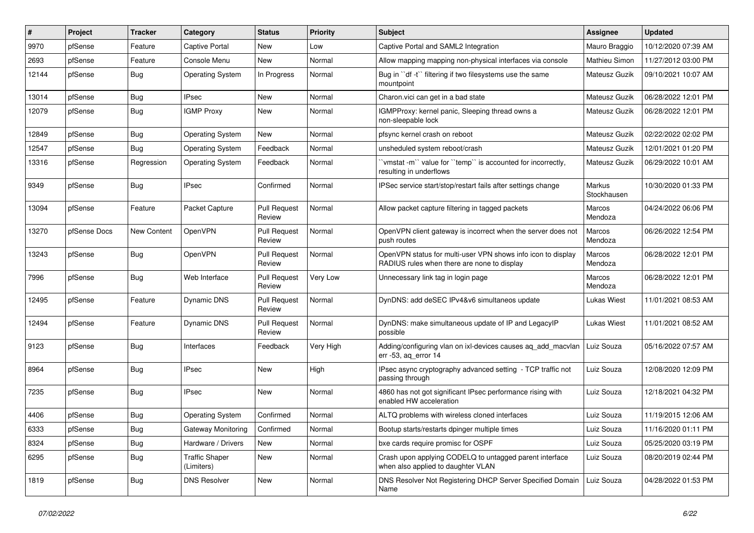| ∦     | Project      | <b>Tracker</b> | Category                            | <b>Status</b>                 | <b>Priority</b> | Subject                                                                                                     | <b>Assignee</b>       | <b>Updated</b>      |
|-------|--------------|----------------|-------------------------------------|-------------------------------|-----------------|-------------------------------------------------------------------------------------------------------------|-----------------------|---------------------|
| 9970  | pfSense      | Feature        | Captive Portal                      | New                           | Low             | Captive Portal and SAML2 Integration                                                                        | Mauro Braggio         | 10/12/2020 07:39 AM |
| 2693  | pfSense      | Feature        | Console Menu                        | New                           | Normal          | Allow mapping mapping non-physical interfaces via console                                                   | Mathieu Simon         | 11/27/2012 03:00 PM |
| 12144 | pfSense      | Bug            | <b>Operating System</b>             | In Progress                   | Normal          | Bug in "df -t" filtering if two filesystems use the same<br>mountpoint                                      | Mateusz Guzik         | 09/10/2021 10:07 AM |
| 13014 | pfSense      | <b>Bug</b>     | <b>IPsec</b>                        | New                           | Normal          | Charon.vici can get in a bad state                                                                          | Mateusz Guzik         | 06/28/2022 12:01 PM |
| 12079 | pfSense      | <b>Bug</b>     | <b>IGMP Proxy</b>                   | New                           | Normal          | IGMPProxy: kernel panic, Sleeping thread owns a<br>non-sleepable lock                                       | Mateusz Guzik         | 06/28/2022 12:01 PM |
| 12849 | pfSense      | <b>Bug</b>     | <b>Operating System</b>             | New                           | Normal          | pfsync kernel crash on reboot                                                                               | <b>Mateusz Guzik</b>  | 02/22/2022 02:02 PM |
| 12547 | pfSense      | Bug            | <b>Operating System</b>             | Feedback                      | Normal          | unsheduled system reboot/crash                                                                              | Mateusz Guzik         | 12/01/2021 01:20 PM |
| 13316 | pfSense      | Regression     | <b>Operating System</b>             | Feedback                      | Normal          | 'vmstat-m'' value for "temp" is accounted for incorrectly,<br>resulting in underflows                       | Mateusz Guzik         | 06/29/2022 10:01 AM |
| 9349  | pfSense      | <b>Bug</b>     | <b>IPsec</b>                        | Confirmed                     | Normal          | IPSec service start/stop/restart fails after settings change                                                | Markus<br>Stockhausen | 10/30/2020 01:33 PM |
| 13094 | pfSense      | Feature        | Packet Capture                      | <b>Pull Request</b><br>Review | Normal          | Allow packet capture filtering in tagged packets                                                            | Marcos<br>Mendoza     | 04/24/2022 06:06 PM |
| 13270 | pfSense Docs | New Content    | OpenVPN                             | <b>Pull Request</b><br>Review | Normal          | OpenVPN client gateway is incorrect when the server does not<br>push routes                                 | Marcos<br>Mendoza     | 06/26/2022 12:54 PM |
| 13243 | pfSense      | <b>Bug</b>     | OpenVPN                             | <b>Pull Request</b><br>Review | Normal          | OpenVPN status for multi-user VPN shows info icon to display<br>RADIUS rules when there are none to display | Marcos<br>Mendoza     | 06/28/2022 12:01 PM |
| 7996  | pfSense      | Bug            | Web Interface                       | <b>Pull Request</b><br>Review | Very Low        | Unnecessary link tag in login page                                                                          | Marcos<br>Mendoza     | 06/28/2022 12:01 PM |
| 12495 | pfSense      | Feature        | Dynamic DNS                         | <b>Pull Request</b><br>Review | Normal          | DynDNS: add deSEC IPv4&v6 simultaneos update                                                                | Lukas Wiest           | 11/01/2021 08:53 AM |
| 12494 | pfSense      | Feature        | Dynamic DNS                         | <b>Pull Request</b><br>Review | Normal          | DynDNS: make simultaneous update of IP and LegacyIP<br>possible                                             | <b>Lukas Wiest</b>    | 11/01/2021 08:52 AM |
| 9123  | pfSense      | <b>Bug</b>     | Interfaces                          | Feedback                      | Very High       | Adding/configuring vlan on ixl-devices causes aq_add_macvlan<br>err -53, aq_error 14                        | Luiz Souza            | 05/16/2022 07:57 AM |
| 8964  | pfSense      | <b>Bug</b>     | <b>IPsec</b>                        | New                           | High            | IPsec async cryptography advanced setting - TCP traffic not<br>passing through                              | Luiz Souza            | 12/08/2020 12:09 PM |
| 7235  | pfSense      | <b>Bug</b>     | <b>IPsec</b>                        | New                           | Normal          | 4860 has not got significant IPsec performance rising with<br>enabled HW acceleration                       | Luiz Souza            | 12/18/2021 04:32 PM |
| 4406  | pfSense      | <b>Bug</b>     | <b>Operating System</b>             | Confirmed                     | Normal          | ALTQ problems with wireless cloned interfaces                                                               | Luiz Souza            | 11/19/2015 12:06 AM |
| 6333  | pfSense      | <b>Bug</b>     | <b>Gateway Monitoring</b>           | Confirmed                     | Normal          | Bootup starts/restarts dpinger multiple times                                                               | Luiz Souza            | 11/16/2020 01:11 PM |
| 8324  | pfSense      | Bug            | Hardware / Drivers                  | New                           | Normal          | bxe cards require promisc for OSPF                                                                          | Luiz Souza            | 05/25/2020 03:19 PM |
| 6295  | pfSense      | <b>Bug</b>     | <b>Traffic Shaper</b><br>(Limiters) | New                           | Normal          | Crash upon applying CODELQ to untagged parent interface<br>when also applied to daughter VLAN               | Luiz Souza            | 08/20/2019 02:44 PM |
| 1819  | pfSense      | <b>Bug</b>     | <b>DNS Resolver</b>                 | New                           | Normal          | DNS Resolver Not Registering DHCP Server Specified Domain<br>Name                                           | Luiz Souza            | 04/28/2022 01:53 PM |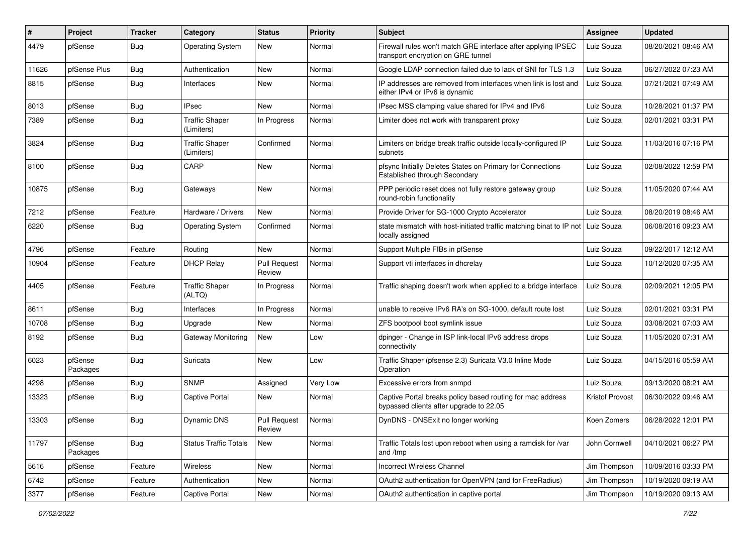| #     | Project             | <b>Tracker</b> | Category                            | <b>Status</b>                 | <b>Priority</b> | Subject                                                                                               | <b>Assignee</b> | <b>Updated</b>      |
|-------|---------------------|----------------|-------------------------------------|-------------------------------|-----------------|-------------------------------------------------------------------------------------------------------|-----------------|---------------------|
| 4479  | pfSense             | <b>Bug</b>     | <b>Operating System</b>             | New                           | Normal          | Firewall rules won't match GRE interface after applying IPSEC<br>transport encryption on GRE tunnel   | Luiz Souza      | 08/20/2021 08:46 AM |
| 11626 | pfSense Plus        | Bug            | Authentication                      | New                           | Normal          | Google LDAP connection failed due to lack of SNI for TLS 1.3                                          | Luiz Souza      | 06/27/2022 07:23 AM |
| 8815  | pfSense             | <b>Bug</b>     | Interfaces                          | New                           | Normal          | IP addresses are removed from interfaces when link is lost and<br>either IPv4 or IPv6 is dynamic      | Luiz Souza      | 07/21/2021 07:49 AM |
| 8013  | pfSense             | Bug            | <b>IPsec</b>                        | New                           | Normal          | IPsec MSS clamping value shared for IPv4 and IPv6                                                     | Luiz Souza      | 10/28/2021 01:37 PM |
| 7389  | pfSense             | <b>Bug</b>     | <b>Traffic Shaper</b><br>(Limiters) | In Progress                   | Normal          | Limiter does not work with transparent proxy                                                          | Luiz Souza      | 02/01/2021 03:31 PM |
| 3824  | pfSense             | <b>Bug</b>     | <b>Traffic Shaper</b><br>(Limiters) | Confirmed                     | Normal          | Limiters on bridge break traffic outside locally-configured IP<br>subnets                             | Luiz Souza      | 11/03/2016 07:16 PM |
| 8100  | pfSense             | <b>Bug</b>     | CARP                                | <b>New</b>                    | Normal          | pfsync Initially Deletes States on Primary for Connections<br>Established through Secondary           | Luiz Souza      | 02/08/2022 12:59 PM |
| 10875 | pfSense             | Bug            | Gateways                            | New                           | Normal          | PPP periodic reset does not fully restore gateway group<br>round-robin functionality                  | Luiz Souza      | 11/05/2020 07:44 AM |
| 7212  | pfSense             | Feature        | Hardware / Drivers                  | New                           | Normal          | Provide Driver for SG-1000 Crypto Accelerator                                                         | Luiz Souza      | 08/20/2019 08:46 AM |
| 6220  | pfSense             | Bug            | <b>Operating System</b>             | Confirmed                     | Normal          | state mismatch with host-initiated traffic matching binat to IP not<br>locally assigned               | Luiz Souza      | 06/08/2016 09:23 AM |
| 4796  | pfSense             | Feature        | Routing                             | New                           | Normal          | Support Multiple FIBs in pfSense                                                                      | Luiz Souza      | 09/22/2017 12:12 AM |
| 10904 | pfSense             | Feature        | <b>DHCP Relay</b>                   | <b>Pull Request</b><br>Review | Normal          | Support vti interfaces in dhcrelay                                                                    | Luiz Souza      | 10/12/2020 07:35 AM |
| 4405  | pfSense             | Feature        | <b>Traffic Shaper</b><br>(ALTQ)     | In Progress                   | Normal          | Traffic shaping doesn't work when applied to a bridge interface                                       | Luiz Souza      | 02/09/2021 12:05 PM |
| 8611  | pfSense             | <b>Bug</b>     | Interfaces                          | In Progress                   | Normal          | unable to receive IPv6 RA's on SG-1000, default route lost                                            | Luiz Souza      | 02/01/2021 03:31 PM |
| 10708 | pfSense             | <b>Bug</b>     | Upgrade                             | New                           | Normal          | ZFS bootpool boot symlink issue                                                                       | Luiz Souza      | 03/08/2021 07:03 AM |
| 8192  | pfSense             | Bug            | Gateway Monitoring                  | New                           | Low             | dpinger - Change in ISP link-local IPv6 address drops<br>connectivity                                 | Luiz Souza      | 11/05/2020 07:31 AM |
| 6023  | pfSense<br>Packages | <b>Bug</b>     | Suricata                            | New                           | Low             | Traffic Shaper (pfsense 2.3) Suricata V3.0 Inline Mode<br>Operation                                   | Luiz Souza      | 04/15/2016 05:59 AM |
| 4298  | pfSense             | <b>Bug</b>     | <b>SNMP</b>                         | Assigned                      | Very Low        | Excessive errors from snmpd                                                                           | Luiz Souza      | 09/13/2020 08:21 AM |
| 13323 | pfSense             | <b>Bug</b>     | <b>Captive Portal</b>               | New                           | Normal          | Captive Portal breaks policy based routing for mac address<br>bypassed clients after upgrade to 22.05 | Kristof Provost | 06/30/2022 09:46 AM |
| 13303 | pfSense             | <b>Bug</b>     | Dynamic DNS                         | <b>Pull Request</b><br>Review | Normal          | DynDNS - DNSExit no longer working                                                                    | Koen Zomers     | 06/28/2022 12:01 PM |
| 11797 | pfSense<br>Packages | <b>Bug</b>     | <b>Status Traffic Totals</b>        | New                           | Normal          | Traffic Totals lost upon reboot when using a ramdisk for /var<br>and /tmp                             | John Cornwell   | 04/10/2021 06:27 PM |
| 5616  | pfSense             | Feature        | Wireless                            | New                           | Normal          | <b>Incorrect Wireless Channel</b>                                                                     | Jim Thompson    | 10/09/2016 03:33 PM |
| 6742  | pfSense             | Feature        | Authentication                      | New                           | Normal          | OAuth2 authentication for OpenVPN (and for FreeRadius)                                                | Jim Thompson    | 10/19/2020 09:19 AM |
| 3377  | pfSense             | Feature        | <b>Captive Portal</b>               | New                           | Normal          | OAuth2 authentication in captive portal                                                               | Jim Thompson    | 10/19/2020 09:13 AM |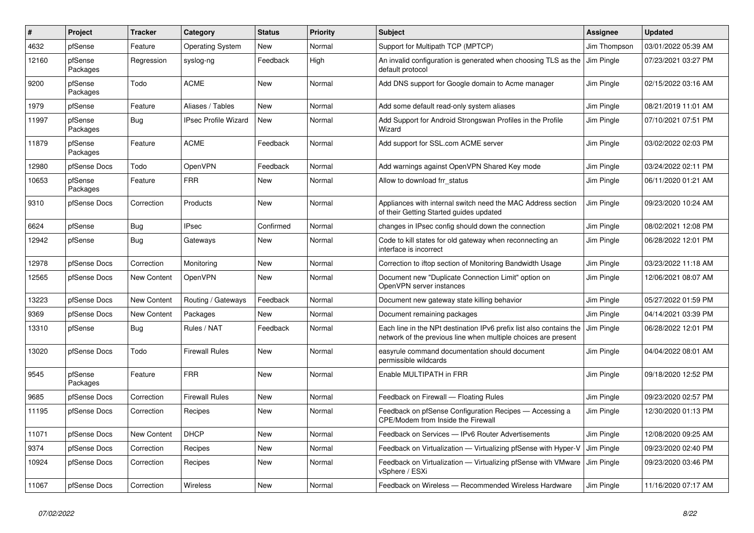| $\pmb{\#}$ | Project             | <b>Tracker</b>     | Category                    | <b>Status</b> | <b>Priority</b> | <b>Subject</b>                                                                                                                        | <b>Assignee</b> | <b>Updated</b>      |
|------------|---------------------|--------------------|-----------------------------|---------------|-----------------|---------------------------------------------------------------------------------------------------------------------------------------|-----------------|---------------------|
| 4632       | pfSense             | Feature            | <b>Operating System</b>     | <b>New</b>    | Normal          | Support for Multipath TCP (MPTCP)                                                                                                     | Jim Thompson    | 03/01/2022 05:39 AM |
| 12160      | pfSense<br>Packages | Regression         | syslog-ng                   | Feedback      | High            | An invalid configuration is generated when choosing TLS as the<br>default protocol                                                    | Jim Pingle      | 07/23/2021 03:27 PM |
| 9200       | pfSense<br>Packages | Todo               | <b>ACME</b>                 | <b>New</b>    | Normal          | Add DNS support for Google domain to Acme manager                                                                                     | Jim Pingle      | 02/15/2022 03:16 AM |
| 1979       | pfSense             | Feature            | Aliases / Tables            | <b>New</b>    | Normal          | Add some default read-only system aliases                                                                                             | Jim Pingle      | 08/21/2019 11:01 AM |
| 11997      | pfSense<br>Packages | <b>Bug</b>         | <b>IPsec Profile Wizard</b> | <b>New</b>    | Normal          | Add Support for Android Strongswan Profiles in the Profile<br>Wizard                                                                  | Jim Pingle      | 07/10/2021 07:51 PM |
| 11879      | pfSense<br>Packages | Feature            | <b>ACME</b>                 | Feedback      | Normal          | Add support for SSL.com ACME server                                                                                                   | Jim Pingle      | 03/02/2022 02:03 PM |
| 12980      | pfSense Docs        | Todo               | <b>OpenVPN</b>              | Feedback      | Normal          | Add warnings against OpenVPN Shared Key mode                                                                                          | Jim Pingle      | 03/24/2022 02:11 PM |
| 10653      | pfSense<br>Packages | Feature            | <b>FRR</b>                  | <b>New</b>    | Normal          | Allow to download frr status                                                                                                          | Jim Pingle      | 06/11/2020 01:21 AM |
| 9310       | pfSense Docs        | Correction         | Products                    | <b>New</b>    | Normal          | Appliances with internal switch need the MAC Address section<br>of their Getting Started guides updated                               | Jim Pingle      | 09/23/2020 10:24 AM |
| 6624       | pfSense             | Bug                | <b>IPsec</b>                | Confirmed     | Normal          | changes in IPsec config should down the connection                                                                                    | Jim Pingle      | 08/02/2021 12:08 PM |
| 12942      | pfSense             | Bug                | Gateways                    | <b>New</b>    | Normal          | Code to kill states for old gateway when reconnecting an<br>interface is incorrect                                                    | Jim Pingle      | 06/28/2022 12:01 PM |
| 12978      | pfSense Docs        | Correction         | Monitoring                  | <b>New</b>    | Normal          | Correction to iftop section of Monitoring Bandwidth Usage                                                                             | Jim Pingle      | 03/23/2022 11:18 AM |
| 12565      | pfSense Docs        | New Content        | <b>OpenVPN</b>              | <b>New</b>    | Normal          | Document new "Duplicate Connection Limit" option on<br>OpenVPN server instances                                                       | Jim Pingle      | 12/06/2021 08:07 AM |
| 13223      | pfSense Docs        | <b>New Content</b> | Routing / Gateways          | Feedback      | Normal          | Document new gateway state killing behavior                                                                                           | Jim Pingle      | 05/27/2022 01:59 PM |
| 9369       | pfSense Docs        | New Content        | Packages                    | <b>New</b>    | Normal          | Document remaining packages                                                                                                           | Jim Pingle      | 04/14/2021 03:39 PM |
| 13310      | pfSense             | Bug                | Rules / NAT                 | Feedback      | Normal          | Each line in the NPt destination IPv6 prefix list also contains the<br>network of the previous line when multiple choices are present | Jim Pingle      | 06/28/2022 12:01 PM |
| 13020      | pfSense Docs        | Todo               | <b>Firewall Rules</b>       | <b>New</b>    | Normal          | easyrule command documentation should document<br>permissible wildcards                                                               | Jim Pingle      | 04/04/2022 08:01 AM |
| 9545       | pfSense<br>Packages | Feature            | <b>FRR</b>                  | <b>New</b>    | Normal          | Enable MULTIPATH in FRR                                                                                                               | Jim Pingle      | 09/18/2020 12:52 PM |
| 9685       | pfSense Docs        | Correction         | <b>Firewall Rules</b>       | <b>New</b>    | Normal          | Feedback on Firewall - Floating Rules                                                                                                 | Jim Pingle      | 09/23/2020 02:57 PM |
| 11195      | pfSense Docs        | Correction         | Recipes                     | New           | Normal          | Feedback on pfSense Configuration Recipes - Accessing a<br>CPE/Modem from Inside the Firewall                                         | Jim Pingle      | 12/30/2020 01:13 PM |
| 11071      | pfSense Docs        | <b>New Content</b> | <b>DHCP</b>                 | <b>New</b>    | Normal          | Feedback on Services - IPv6 Router Advertisements                                                                                     | Jim Pingle      | 12/08/2020 09:25 AM |
| 9374       | pfSense Docs        | Correction         | Recipes                     | <b>New</b>    | Normal          | Feedback on Virtualization - Virtualizing pfSense with Hyper-V                                                                        | Jim Pingle      | 09/23/2020 02:40 PM |
| 10924      | pfSense Docs        | Correction         | Recipes                     | <b>New</b>    | Normal          | Feedback on Virtualization - Virtualizing pfSense with VMware<br>vSphere / ESXi                                                       | Jim Pingle      | 09/23/2020 03:46 PM |
| 11067      | pfSense Docs        | Correction         | <b>Wireless</b>             | <b>New</b>    | Normal          | Feedback on Wireless - Recommended Wireless Hardware                                                                                  | Jim Pingle      | 11/16/2020 07:17 AM |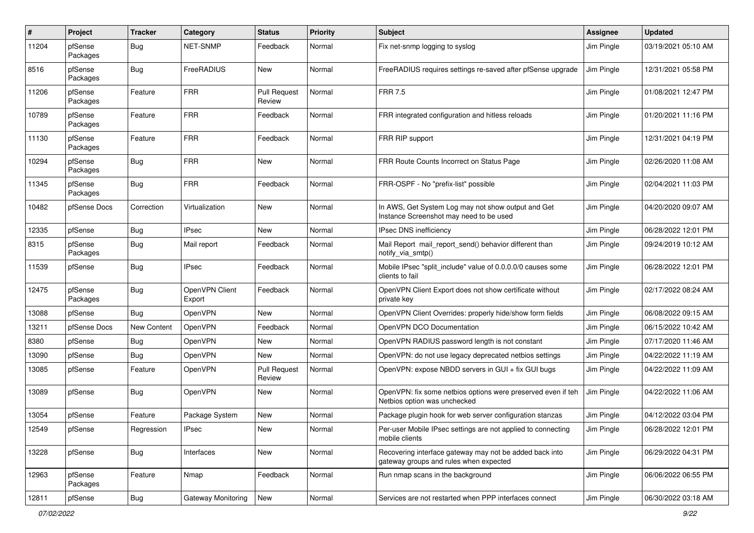| $\pmb{\#}$ | Project             | <b>Tracker</b> | Category                 | <b>Status</b>                 | <b>Priority</b> | Subject                                                                                           | <b>Assignee</b> | <b>Updated</b>      |
|------------|---------------------|----------------|--------------------------|-------------------------------|-----------------|---------------------------------------------------------------------------------------------------|-----------------|---------------------|
| 11204      | pfSense<br>Packages | <b>Bug</b>     | <b>NET-SNMP</b>          | Feedback                      | Normal          | Fix net-snmp logging to syslog                                                                    | Jim Pingle      | 03/19/2021 05:10 AM |
| 8516       | pfSense<br>Packages | <b>Bug</b>     | FreeRADIUS               | New                           | Normal          | FreeRADIUS requires settings re-saved after pfSense upgrade                                       | Jim Pingle      | 12/31/2021 05:58 PM |
| 11206      | pfSense<br>Packages | Feature        | <b>FRR</b>               | <b>Pull Request</b><br>Review | Normal          | <b>FRR 7.5</b>                                                                                    | Jim Pingle      | 01/08/2021 12:47 PM |
| 10789      | pfSense<br>Packages | Feature        | <b>FRR</b>               | Feedback                      | Normal          | FRR integrated configuration and hitless reloads                                                  | Jim Pingle      | 01/20/2021 11:16 PM |
| 11130      | pfSense<br>Packages | Feature        | <b>FRR</b>               | Feedback                      | Normal          | FRR RIP support                                                                                   | Jim Pingle      | 12/31/2021 04:19 PM |
| 10294      | pfSense<br>Packages | Bug            | <b>FRR</b>               | New                           | Normal          | FRR Route Counts Incorrect on Status Page                                                         | Jim Pingle      | 02/26/2020 11:08 AM |
| 11345      | pfSense<br>Packages | <b>Bug</b>     | <b>FRR</b>               | Feedback                      | Normal          | FRR-OSPF - No "prefix-list" possible                                                              | Jim Pingle      | 02/04/2021 11:03 PM |
| 10482      | pfSense Docs        | Correction     | Virtualization           | New                           | Normal          | In AWS, Get System Log may not show output and Get<br>Instance Screenshot may need to be used     | Jim Pingle      | 04/20/2020 09:07 AM |
| 12335      | pfSense             | <b>Bug</b>     | <b>IPsec</b>             | New                           | Normal          | IPsec DNS inefficiency                                                                            | Jim Pingle      | 06/28/2022 12:01 PM |
| 8315       | pfSense<br>Packages | <b>Bug</b>     | Mail report              | Feedback                      | Normal          | Mail Report mail report send() behavior different than<br>notify_via_smtp()                       | Jim Pingle      | 09/24/2019 10:12 AM |
| 11539      | pfSense             | <b>Bug</b>     | <b>IPsec</b>             | Feedback                      | Normal          | Mobile IPsec "split include" value of 0.0.0.0/0 causes some<br>clients to fail                    | Jim Pingle      | 06/28/2022 12:01 PM |
| 12475      | pfSense<br>Packages | <b>Bug</b>     | OpenVPN Client<br>Export | Feedback                      | Normal          | OpenVPN Client Export does not show certificate without<br>private key                            | Jim Pingle      | 02/17/2022 08:24 AM |
| 13088      | pfSense             | <b>Bug</b>     | OpenVPN                  | <b>New</b>                    | Normal          | OpenVPN Client Overrides: properly hide/show form fields                                          | Jim Pingle      | 06/08/2022 09:15 AM |
| 13211      | pfSense Docs        | New Content    | <b>OpenVPN</b>           | Feedback                      | Normal          | OpenVPN DCO Documentation                                                                         | Jim Pingle      | 06/15/2022 10:42 AM |
| 8380       | pfSense             | Bug            | OpenVPN                  | New                           | Normal          | OpenVPN RADIUS password length is not constant                                                    | Jim Pingle      | 07/17/2020 11:46 AM |
| 13090      | pfSense             | <b>Bug</b>     | OpenVPN                  | New                           | Normal          | OpenVPN: do not use legacy deprecated netbios settings                                            | Jim Pingle      | 04/22/2022 11:19 AM |
| 13085      | pfSense             | Feature        | OpenVPN                  | <b>Pull Request</b><br>Review | Normal          | OpenVPN: expose NBDD servers in GUI + fix GUI bugs                                                | Jim Pingle      | 04/22/2022 11:09 AM |
| 13089      | pfSense             | <b>Bug</b>     | OpenVPN                  | New                           | Normal          | OpenVPN: fix some netbios options were preserved even if teh<br>Netbios option was unchecked      | Jim Pingle      | 04/22/2022 11:06 AM |
| 13054      | pfSense             | Feature        | Package System           | <b>New</b>                    | Normal          | Package plugin hook for web server configuration stanzas                                          | Jim Pingle      | 04/12/2022 03:04 PM |
| 12549      | pfSense             | Regression     | <b>IPsec</b>             | New                           | Normal          | Per-user Mobile IPsec settings are not applied to connecting<br>mobile clients                    | Jim Pingle      | 06/28/2022 12:01 PM |
| 13228      | pfSense             | <b>Bug</b>     | Interfaces               | New                           | Normal          | Recovering interface gateway may not be added back into<br>gateway groups and rules when expected | Jim Pingle      | 06/29/2022 04:31 PM |
| 12963      | pfSense<br>Packages | Feature        | Nmap                     | Feedback                      | Normal          | Run nmap scans in the background                                                                  | Jim Pingle      | 06/06/2022 06:55 PM |
| 12811      | pfSense             | Bug            | Gateway Monitoring       | New                           | Normal          | Services are not restarted when PPP interfaces connect                                            | Jim Pingle      | 06/30/2022 03:18 AM |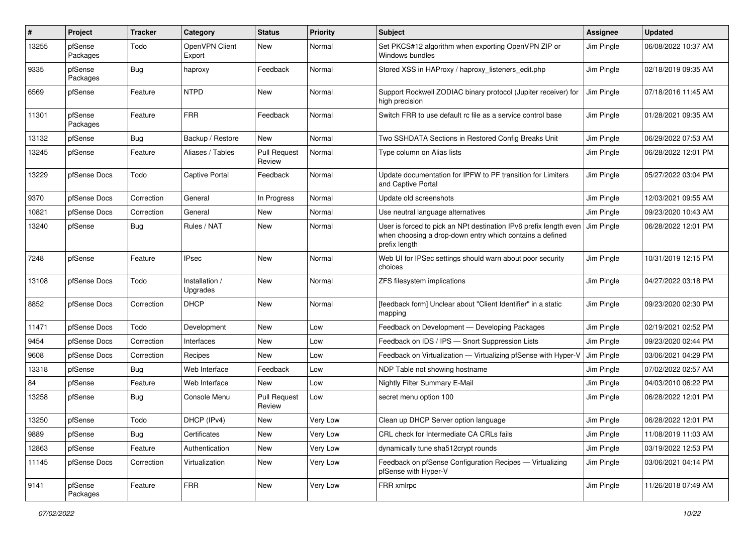| $\pmb{\#}$ | Project             | <b>Tracker</b> | Category                   | <b>Status</b>                 | <b>Priority</b> | Subject                                                                                                                                        | <b>Assignee</b> | <b>Updated</b>      |
|------------|---------------------|----------------|----------------------------|-------------------------------|-----------------|------------------------------------------------------------------------------------------------------------------------------------------------|-----------------|---------------------|
| 13255      | pfSense<br>Packages | Todo           | OpenVPN Client<br>Export   | New                           | Normal          | Set PKCS#12 algorithm when exporting OpenVPN ZIP or<br>Windows bundles                                                                         | Jim Pingle      | 06/08/2022 10:37 AM |
| 9335       | pfSense<br>Packages | Bug            | haproxy                    | Feedback                      | Normal          | Stored XSS in HAProxy / haproxy_listeners_edit.php                                                                                             | Jim Pingle      | 02/18/2019 09:35 AM |
| 6569       | pfSense             | Feature        | <b>NTPD</b>                | <b>New</b>                    | Normal          | Support Rockwell ZODIAC binary protocol (Jupiter receiver) for<br>high precision                                                               | Jim Pingle      | 07/18/2016 11:45 AM |
| 11301      | pfSense<br>Packages | Feature        | <b>FRR</b>                 | Feedback                      | Normal          | Switch FRR to use default rc file as a service control base                                                                                    | Jim Pingle      | 01/28/2021 09:35 AM |
| 13132      | pfSense             | Bug            | Backup / Restore           | New                           | Normal          | Two SSHDATA Sections in Restored Config Breaks Unit                                                                                            | Jim Pingle      | 06/29/2022 07:53 AM |
| 13245      | pfSense             | Feature        | Aliases / Tables           | <b>Pull Request</b><br>Review | Normal          | Type column on Alias lists                                                                                                                     | Jim Pingle      | 06/28/2022 12:01 PM |
| 13229      | pfSense Docs        | Todo           | <b>Captive Portal</b>      | Feedback                      | Normal          | Update documentation for IPFW to PF transition for Limiters<br>and Captive Portal                                                              | Jim Pingle      | 05/27/2022 03:04 PM |
| 9370       | pfSense Docs        | Correction     | General                    | In Progress                   | Normal          | Update old screenshots                                                                                                                         | Jim Pingle      | 12/03/2021 09:55 AM |
| 10821      | pfSense Docs        | Correction     | General                    | New                           | Normal          | Use neutral language alternatives                                                                                                              | Jim Pingle      | 09/23/2020 10:43 AM |
| 13240      | pfSense             | Bug            | Rules / NAT                | <b>New</b>                    | Normal          | User is forced to pick an NPt destination IPv6 prefix length even<br>when choosing a drop-down entry which contains a defined<br>prefix length | Jim Pingle      | 06/28/2022 12:01 PM |
| 7248       | pfSense             | Feature        | <b>IPsec</b>               | <b>New</b>                    | Normal          | Web UI for IPSec settings should warn about poor security<br>choices                                                                           | Jim Pingle      | 10/31/2019 12:15 PM |
| 13108      | pfSense Docs        | Todo           | Installation /<br>Upgrades | <b>New</b>                    | Normal          | ZFS filesystem implications                                                                                                                    | Jim Pingle      | 04/27/2022 03:18 PM |
| 8852       | pfSense Docs        | Correction     | <b>DHCP</b>                | <b>New</b>                    | Normal          | [feedback form] Unclear about "Client Identifier" in a static<br>mapping                                                                       | Jim Pingle      | 09/23/2020 02:30 PM |
| 11471      | pfSense Docs        | Todo           | Development                | New                           | Low             | Feedback on Development - Developing Packages                                                                                                  | Jim Pingle      | 02/19/2021 02:52 PM |
| 9454       | pfSense Docs        | Correction     | Interfaces                 | New                           | Low             | Feedback on IDS / IPS - Snort Suppression Lists                                                                                                | Jim Pingle      | 09/23/2020 02:44 PM |
| 9608       | pfSense Docs        | Correction     | Recipes                    | <b>New</b>                    | Low             | Feedback on Virtualization - Virtualizing pfSense with Hyper-V                                                                                 | Jim Pingle      | 03/06/2021 04:29 PM |
| 13318      | pfSense             | Bug            | Web Interface              | Feedback                      | Low             | NDP Table not showing hostname                                                                                                                 | Jim Pingle      | 07/02/2022 02:57 AM |
| 84         | pfSense             | Feature        | Web Interface              | <b>New</b>                    | Low             | Nightly Filter Summary E-Mail                                                                                                                  | Jim Pingle      | 04/03/2010 06:22 PM |
| 13258      | pfSense             | <b>Bug</b>     | Console Menu               | <b>Pull Request</b><br>Review | Low             | secret menu option 100                                                                                                                         | Jim Pingle      | 06/28/2022 12:01 PM |
| 13250      | pfSense             | Todo           | DHCP (IPv4)                | <b>New</b>                    | Very Low        | Clean up DHCP Server option language                                                                                                           | Jim Pingle      | 06/28/2022 12:01 PM |
| 9889       | pfSense             | Bug            | Certificates               | New                           | Very Low        | CRL check for Intermediate CA CRLs fails                                                                                                       | Jim Pingle      | 11/08/2019 11:03 AM |
| 12863      | pfSense             | Feature        | Authentication             | New                           | Very Low        | dynamically tune sha512crypt rounds                                                                                                            | Jim Pingle      | 03/19/2022 12:53 PM |
| 11145      | pfSense Docs        | Correction     | Virtualization             | New                           | Very Low        | Feedback on pfSense Configuration Recipes - Virtualizing<br>pfSense with Hyper-V                                                               | Jim Pingle      | 03/06/2021 04:14 PM |
| 9141       | pfSense<br>Packages | Feature        | <b>FRR</b>                 | New                           | Very Low        | FRR xmlrpc                                                                                                                                     | Jim Pingle      | 11/26/2018 07:49 AM |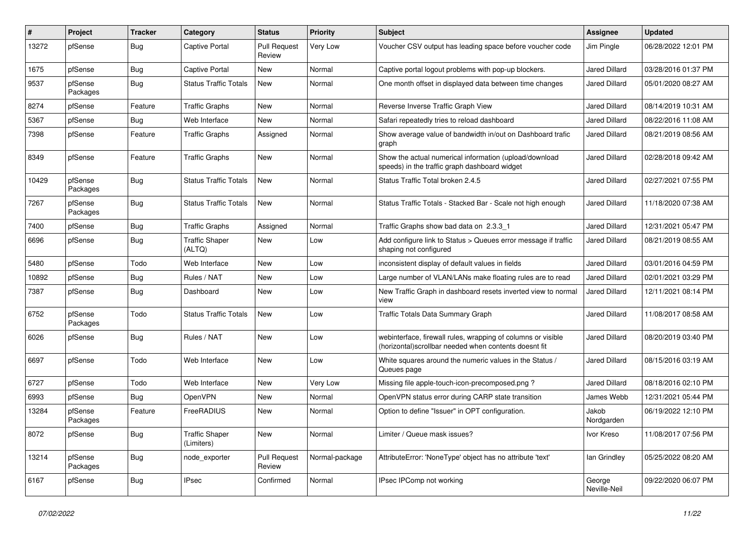| #     | Project             | <b>Tracker</b> | Category                            | <b>Status</b>                 | <b>Priority</b> | Subject                                                                                                               | <b>Assignee</b>        | <b>Updated</b>      |
|-------|---------------------|----------------|-------------------------------------|-------------------------------|-----------------|-----------------------------------------------------------------------------------------------------------------------|------------------------|---------------------|
| 13272 | pfSense             | Bug            | Captive Portal                      | <b>Pull Request</b><br>Review | Very Low        | Voucher CSV output has leading space before voucher code                                                              | Jim Pingle             | 06/28/2022 12:01 PM |
| 1675  | pfSense             | Bug            | <b>Captive Portal</b>               | New                           | Normal          | Captive portal logout problems with pop-up blockers.                                                                  | <b>Jared Dillard</b>   | 03/28/2016 01:37 PM |
| 9537  | pfSense<br>Packages | Bug            | <b>Status Traffic Totals</b>        | New                           | Normal          | One month offset in displayed data between time changes                                                               | Jared Dillard          | 05/01/2020 08:27 AM |
| 8274  | pfSense             | Feature        | <b>Traffic Graphs</b>               | New                           | Normal          | Reverse Inverse Traffic Graph View                                                                                    | <b>Jared Dillard</b>   | 08/14/2019 10:31 AM |
| 5367  | pfSense             | <b>Bug</b>     | Web Interface                       | New                           | Normal          | Safari repeatedly tries to reload dashboard                                                                           | <b>Jared Dillard</b>   | 08/22/2016 11:08 AM |
| 7398  | pfSense             | Feature        | <b>Traffic Graphs</b>               | Assigned                      | Normal          | Show average value of bandwidth in/out on Dashboard trafic<br>graph                                                   | <b>Jared Dillard</b>   | 08/21/2019 08:56 AM |
| 8349  | pfSense             | Feature        | <b>Traffic Graphs</b>               | New                           | Normal          | Show the actual numerical information (upload/download<br>speeds) in the traffic graph dashboard widget               | <b>Jared Dillard</b>   | 02/28/2018 09:42 AM |
| 10429 | pfSense<br>Packages | Bug            | <b>Status Traffic Totals</b>        | New                           | Normal          | Status Traffic Total broken 2.4.5                                                                                     | Jared Dillard          | 02/27/2021 07:55 PM |
| 7267  | pfSense<br>Packages | <b>Bug</b>     | <b>Status Traffic Totals</b>        | New                           | Normal          | Status Traffic Totals - Stacked Bar - Scale not high enough                                                           | <b>Jared Dillard</b>   | 11/18/2020 07:38 AM |
| 7400  | pfSense             | Bug            | <b>Traffic Graphs</b>               | Assigned                      | Normal          | Traffic Graphs show bad data on 2.3.3_1                                                                               | <b>Jared Dillard</b>   | 12/31/2021 05:47 PM |
| 6696  | pfSense             | Bug            | <b>Traffic Shaper</b><br>(ALTQ)     | New                           | Low             | Add configure link to Status > Queues error message if traffic<br>shaping not configured                              | Jared Dillard          | 08/21/2019 08:55 AM |
| 5480  | pfSense             | Todo           | Web Interface                       | New                           | Low             | inconsistent display of default values in fields                                                                      | <b>Jared Dillard</b>   | 03/01/2016 04:59 PM |
| 10892 | pfSense             | <b>Bug</b>     | Rules / NAT                         | New                           | Low             | Large number of VLAN/LANs make floating rules are to read                                                             | <b>Jared Dillard</b>   | 02/01/2021 03:29 PM |
| 7387  | pfSense             | Bug            | Dashboard                           | New                           | Low             | New Traffic Graph in dashboard resets inverted view to normal<br>view                                                 | Jared Dillard          | 12/11/2021 08:14 PM |
| 6752  | pfSense<br>Packages | Todo           | <b>Status Traffic Totals</b>        | New                           | Low             | Traffic Totals Data Summary Graph                                                                                     | <b>Jared Dillard</b>   | 11/08/2017 08:58 AM |
| 6026  | pfSense             | Bug            | Rules / NAT                         | New                           | Low             | webinterface, firewall rules, wrapping of columns or visible<br>(horizontal)scrollbar needed when contents doesnt fit | <b>Jared Dillard</b>   | 08/20/2019 03:40 PM |
| 6697  | pfSense             | Todo           | Web Interface                       | New                           | Low             | White squares around the numeric values in the Status /<br>Queues page                                                | <b>Jared Dillard</b>   | 08/15/2016 03:19 AM |
| 6727  | pfSense             | Todo           | Web Interface                       | New                           | Very Low        | Missing file apple-touch-icon-precomposed.png?                                                                        | <b>Jared Dillard</b>   | 08/18/2016 02:10 PM |
| 6993  | pfSense             | <b>Bug</b>     | OpenVPN                             | New                           | Normal          | OpenVPN status error during CARP state transition                                                                     | James Webb             | 12/31/2021 05:44 PM |
| 13284 | pfSense<br>Packages | Feature        | FreeRADIUS                          | New                           | Normal          | Option to define "Issuer" in OPT configuration.                                                                       | Jakob<br>Nordgarden    | 06/19/2022 12:10 PM |
| 8072  | pfSense             | <b>Bug</b>     | <b>Traffic Shaper</b><br>(Limiters) | New                           | Normal          | Limiter / Queue mask issues?                                                                                          | Ivor Kreso             | 11/08/2017 07:56 PM |
| 13214 | pfSense<br>Packages | Bug            | node exporter                       | <b>Pull Request</b><br>Review | Normal-package  | AttributeError: 'NoneType' object has no attribute 'text'                                                             | lan Grindley           | 05/25/2022 08:20 AM |
| 6167  | pfSense             | Bug            | <b>IPsec</b>                        | Confirmed                     | Normal          | IPsec IPComp not working                                                                                              | George<br>Neville-Neil | 09/22/2020 06:07 PM |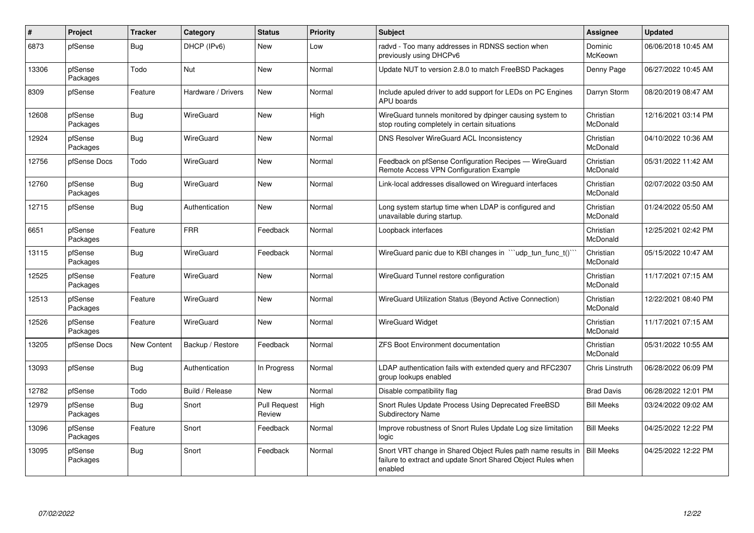| #     | Project             | <b>Tracker</b>     | Category           | <b>Status</b>                 | <b>Priority</b> | <b>Subject</b>                                                                                                                          | <b>Assignee</b>       | <b>Updated</b>      |
|-------|---------------------|--------------------|--------------------|-------------------------------|-----------------|-----------------------------------------------------------------------------------------------------------------------------------------|-----------------------|---------------------|
| 6873  | pfSense             | Bug                | DHCP (IPv6)        | <b>New</b>                    | Low             | radvd - Too many addresses in RDNSS section when<br>previously using DHCPv6                                                             | Dominic<br>McKeown    | 06/06/2018 10:45 AM |
| 13306 | pfSense<br>Packages | Todo               | <b>Nut</b>         | <b>New</b>                    | Normal          | Update NUT to version 2.8.0 to match FreeBSD Packages                                                                                   | Denny Page            | 06/27/2022 10:45 AM |
| 8309  | pfSense             | Feature            | Hardware / Drivers | New                           | Normal          | Include apuled driver to add support for LEDs on PC Engines<br><b>APU</b> boards                                                        | Darryn Storm          | 08/20/2019 08:47 AM |
| 12608 | pfSense<br>Packages | <b>Bug</b>         | <b>WireGuard</b>   | <b>New</b>                    | High            | WireGuard tunnels monitored by dpinger causing system to<br>stop routing completely in certain situations                               | Christian<br>McDonald | 12/16/2021 03:14 PM |
| 12924 | pfSense<br>Packages | Bug                | WireGuard          | <b>New</b>                    | Normal          | <b>DNS Resolver WireGuard ACL Inconsistency</b>                                                                                         | Christian<br>McDonald | 04/10/2022 10:36 AM |
| 12756 | pfSense Docs        | Todo               | <b>WireGuard</b>   | <b>New</b>                    | Normal          | Feedback on pfSense Configuration Recipes - WireGuard<br>Remote Access VPN Configuration Example                                        | Christian<br>McDonald | 05/31/2022 11:42 AM |
| 12760 | pfSense<br>Packages | Bug                | <b>WireGuard</b>   | New                           | Normal          | Link-local addresses disallowed on Wireguard interfaces                                                                                 | Christian<br>McDonald | 02/07/2022 03:50 AM |
| 12715 | pfSense             | <b>Bug</b>         | Authentication     | New                           | Normal          | Long system startup time when LDAP is configured and<br>unavailable during startup.                                                     | Christian<br>McDonald | 01/24/2022 05:50 AM |
| 6651  | pfSense<br>Packages | Feature            | <b>FRR</b>         | Feedback                      | Normal          | Loopback interfaces                                                                                                                     | Christian<br>McDonald | 12/25/2021 02:42 PM |
| 13115 | pfSense<br>Packages | <b>Bug</b>         | WireGuard          | Feedback                      | Normal          | WireGuard panic due to KBI changes in ""udp_tun_func_t()""                                                                              | Christian<br>McDonald | 05/15/2022 10:47 AM |
| 12525 | pfSense<br>Packages | Feature            | <b>WireGuard</b>   | <b>New</b>                    | Normal          | WireGuard Tunnel restore configuration                                                                                                  | Christian<br>McDonald | 11/17/2021 07:15 AM |
| 12513 | pfSense<br>Packages | Feature            | <b>WireGuard</b>   | New                           | Normal          | WireGuard Utilization Status (Beyond Active Connection)                                                                                 | Christian<br>McDonald | 12/22/2021 08:40 PM |
| 12526 | pfSense<br>Packages | Feature            | <b>WireGuard</b>   | <b>New</b>                    | Normal          | <b>WireGuard Widget</b>                                                                                                                 | Christian<br>McDonald | 11/17/2021 07:15 AM |
| 13205 | pfSense Docs        | <b>New Content</b> | Backup / Restore   | Feedback                      | Normal          | <b>ZFS Boot Environment documentation</b>                                                                                               | Christian<br>McDonald | 05/31/2022 10:55 AM |
| 13093 | pfSense             | Bug                | Authentication     | In Progress                   | Normal          | LDAP authentication fails with extended query and RFC2307<br>group lookups enabled                                                      | Chris Linstruth       | 06/28/2022 06:09 PM |
| 12782 | pfSense             | Todo               | Build / Release    | New                           | Normal          | Disable compatibility flag                                                                                                              | <b>Brad Davis</b>     | 06/28/2022 12:01 PM |
| 12979 | pfSense<br>Packages | Bug                | Snort              | <b>Pull Request</b><br>Review | High            | Snort Rules Update Process Using Deprecated FreeBSD<br><b>Subdirectory Name</b>                                                         | <b>Bill Meeks</b>     | 03/24/2022 09:02 AM |
| 13096 | pfSense<br>Packages | Feature            | Snort              | Feedback                      | Normal          | Improve robustness of Snort Rules Update Log size limitation<br>logic                                                                   | <b>Bill Meeks</b>     | 04/25/2022 12:22 PM |
| 13095 | pfSense<br>Packages | Bug                | Snort              | Feedback                      | Normal          | Snort VRT change in Shared Object Rules path name results in<br>failure to extract and update Snort Shared Object Rules when<br>enabled | <b>Bill Meeks</b>     | 04/25/2022 12:22 PM |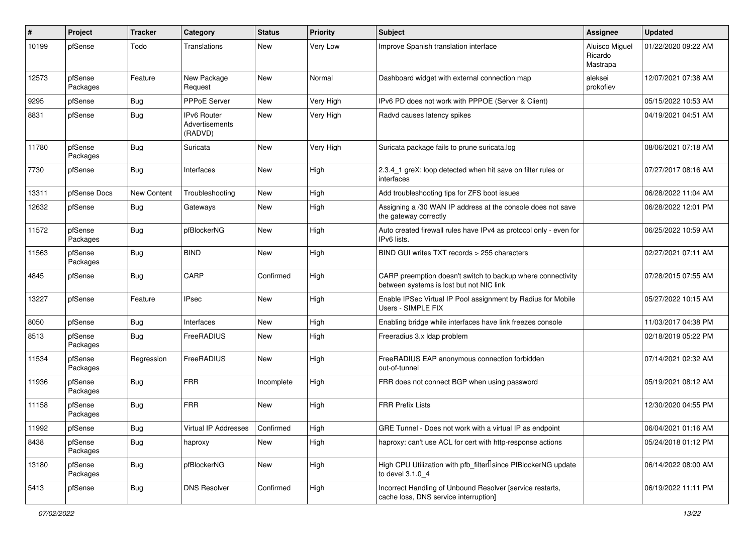| #     | Project             | <b>Tracker</b> | Category                                        | <b>Status</b> | <b>Priority</b> | <b>Subject</b>                                                                                          | Assignee                              | <b>Updated</b>      |
|-------|---------------------|----------------|-------------------------------------------------|---------------|-----------------|---------------------------------------------------------------------------------------------------------|---------------------------------------|---------------------|
| 10199 | pfSense             | Todo           | Translations                                    | New           | Very Low        | Improve Spanish translation interface                                                                   | Aluisco Miguel<br>Ricardo<br>Mastrapa | 01/22/2020 09:22 AM |
| 12573 | pfSense<br>Packages | Feature        | New Package<br>Request                          | <b>New</b>    | Normal          | Dashboard widget with external connection map                                                           | aleksei<br>prokofiev                  | 12/07/2021 07:38 AM |
| 9295  | pfSense             | Bug            | <b>PPPoE Server</b>                             | <b>New</b>    | Very High       | IPv6 PD does not work with PPPOE (Server & Client)                                                      |                                       | 05/15/2022 10:53 AM |
| 8831  | pfSense             | Bug            | IPv6 Router<br><b>Advertisements</b><br>(RADVD) | <b>New</b>    | Very High       | Radvd causes latency spikes                                                                             |                                       | 04/19/2021 04:51 AM |
| 11780 | pfSense<br>Packages | Bug            | Suricata                                        | <b>New</b>    | Very High       | Suricata package fails to prune suricata.log                                                            |                                       | 08/06/2021 07:18 AM |
| 7730  | pfSense             | Bug            | Interfaces                                      | New           | High            | 2.3.4_1 greX: loop detected when hit save on filter rules or<br>interfaces                              |                                       | 07/27/2017 08:16 AM |
| 13311 | pfSense Docs        | New Content    | Troubleshooting                                 | New           | High            | Add troubleshooting tips for ZFS boot issues                                                            |                                       | 06/28/2022 11:04 AM |
| 12632 | pfSense             | Bug            | Gateways                                        | <b>New</b>    | High            | Assigning a /30 WAN IP address at the console does not save<br>the gateway correctly                    |                                       | 06/28/2022 12:01 PM |
| 11572 | pfSense<br>Packages | <b>Bug</b>     | pfBlockerNG                                     | New           | High            | Auto created firewall rules have IPv4 as protocol only - even for<br>IPv6 lists.                        |                                       | 06/25/2022 10:59 AM |
| 11563 | pfSense<br>Packages | Bug            | <b>BIND</b>                                     | <b>New</b>    | High            | BIND GUI writes TXT records > 255 characters                                                            |                                       | 02/27/2021 07:11 AM |
| 4845  | pfSense             | Bug            | CARP                                            | Confirmed     | High            | CARP preemption doesn't switch to backup where connectivity<br>between systems is lost but not NIC link |                                       | 07/28/2015 07:55 AM |
| 13227 | pfSense             | Feature        | <b>IPsec</b>                                    | New           | High            | Enable IPSec Virtual IP Pool assignment by Radius for Mobile<br>Users - SIMPLE FIX                      |                                       | 05/27/2022 10:15 AM |
| 8050  | pfSense             | Bug            | Interfaces                                      | New           | High            | Enabling bridge while interfaces have link freezes console                                              |                                       | 11/03/2017 04:38 PM |
| 8513  | pfSense<br>Packages | Bug            | FreeRADIUS                                      | <b>New</b>    | High            | Freeradius 3.x Idap problem                                                                             |                                       | 02/18/2019 05:22 PM |
| 11534 | pfSense<br>Packages | Regression     | FreeRADIUS                                      | <b>New</b>    | High            | FreeRADIUS EAP anonymous connection forbidden<br>out-of-tunnel                                          |                                       | 07/14/2021 02:32 AM |
| 11936 | pfSense<br>Packages | Bug            | <b>FRR</b>                                      | Incomplete    | High            | FRR does not connect BGP when using password                                                            |                                       | 05/19/2021 08:12 AM |
| 11158 | pfSense<br>Packages | Bug            | <b>FRR</b>                                      | New           | High            | <b>FRR Prefix Lists</b>                                                                                 |                                       | 12/30/2020 04:55 PM |
| 11992 | pfSense             | Bug            | Virtual IP Addresses                            | Confirmed     | High            | GRE Tunnel - Does not work with a virtual IP as endpoint                                                |                                       | 06/04/2021 01:16 AM |
| 8438  | pfSense<br>Packages | <b>Bug</b>     | haproxy                                         | New           | High            | haproxy: can't use ACL for cert with http-response actions                                              |                                       | 05/24/2018 01:12 PM |
| 13180 | pfSense<br>Packages | <b>Bug</b>     | pfBlockerNG                                     | New           | High            | High CPU Utilization with pfb_filter <sup>[]</sup> since PfBlockerNG update<br>to devel 3.1.0_4         |                                       | 06/14/2022 08:00 AM |
| 5413  | pfSense             | <b>Bug</b>     | <b>DNS Resolver</b>                             | Confirmed     | High            | Incorrect Handling of Unbound Resolver [service restarts,<br>cache loss, DNS service interruption]      |                                       | 06/19/2022 11:11 PM |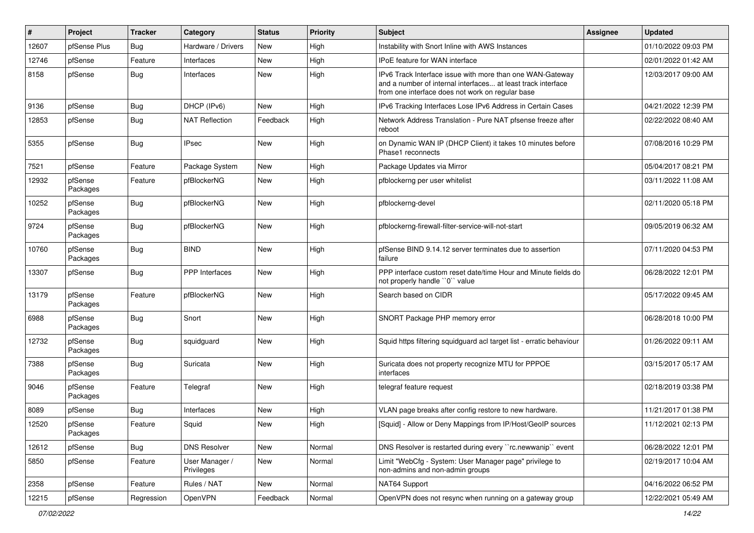| ∦     | Project             | <b>Tracker</b> | Category                     | <b>Status</b> | <b>Priority</b> | <b>Subject</b>                                                                                                                                                                | <b>Assignee</b> | <b>Updated</b>      |
|-------|---------------------|----------------|------------------------------|---------------|-----------------|-------------------------------------------------------------------------------------------------------------------------------------------------------------------------------|-----------------|---------------------|
| 12607 | pfSense Plus        | Bug            | Hardware / Drivers           | New           | High            | Instability with Snort Inline with AWS Instances                                                                                                                              |                 | 01/10/2022 09:03 PM |
| 12746 | pfSense             | Feature        | Interfaces                   | New           | High            | <b>IPoE</b> feature for WAN interface                                                                                                                                         |                 | 02/01/2022 01:42 AM |
| 8158  | pfSense             | Bug            | Interfaces                   | New           | High            | IPv6 Track Interface issue with more than one WAN-Gateway<br>and a number of internal interfaces at least track interface<br>from one interface does not work on regular base |                 | 12/03/2017 09:00 AM |
| 9136  | pfSense             | Bug            | DHCP (IPv6)                  | New           | High            | IPv6 Tracking Interfaces Lose IPv6 Address in Certain Cases                                                                                                                   |                 | 04/21/2022 12:39 PM |
| 12853 | pfSense             | <b>Bug</b>     | <b>NAT Reflection</b>        | Feedback      | High            | Network Address Translation - Pure NAT pfsense freeze after<br>reboot                                                                                                         |                 | 02/22/2022 08:40 AM |
| 5355  | pfSense             | Bug            | <b>IPsec</b>                 | New           | High            | on Dynamic WAN IP (DHCP Client) it takes 10 minutes before<br>Phase1 reconnects                                                                                               |                 | 07/08/2016 10:29 PM |
| 7521  | pfSense             | Feature        | Package System               | New           | High            | Package Updates via Mirror                                                                                                                                                    |                 | 05/04/2017 08:21 PM |
| 12932 | pfSense<br>Packages | Feature        | pfBlockerNG                  | New           | High            | pfblockerng per user whitelist                                                                                                                                                |                 | 03/11/2022 11:08 AM |
| 10252 | pfSense<br>Packages | <b>Bug</b>     | pfBlockerNG                  | New           | High            | pfblockerng-devel                                                                                                                                                             |                 | 02/11/2020 05:18 PM |
| 9724  | pfSense<br>Packages | Bug            | pfBlockerNG                  | New           | High            | pfblockerng-firewall-filter-service-will-not-start                                                                                                                            |                 | 09/05/2019 06:32 AM |
| 10760 | pfSense<br>Packages | <b>Bug</b>     | <b>BIND</b>                  | New           | High            | pfSense BIND 9.14.12 server terminates due to assertion<br>failure                                                                                                            |                 | 07/11/2020 04:53 PM |
| 13307 | pfSense             | Bug            | PPP Interfaces               | New           | High            | PPP interface custom reset date/time Hour and Minute fields do<br>not properly handle "0" value                                                                               |                 | 06/28/2022 12:01 PM |
| 13179 | pfSense<br>Packages | Feature        | pfBlockerNG                  | New           | High            | Search based on CIDR                                                                                                                                                          |                 | 05/17/2022 09:45 AM |
| 6988  | pfSense<br>Packages | <b>Bug</b>     | Snort                        | New           | High            | SNORT Package PHP memory error                                                                                                                                                |                 | 06/28/2018 10:00 PM |
| 12732 | pfSense<br>Packages | Bug            | squidguard                   | New           | High            | Squid https filtering squidguard acl target list - erratic behaviour                                                                                                          |                 | 01/26/2022 09:11 AM |
| 7388  | pfSense<br>Packages | Bug            | Suricata                     | New           | High            | Suricata does not property recognize MTU for PPPOE<br>interfaces                                                                                                              |                 | 03/15/2017 05:17 AM |
| 9046  | pfSense<br>Packages | Feature        | Telegraf                     | New           | High            | telegraf feature request                                                                                                                                                      |                 | 02/18/2019 03:38 PM |
| 8089  | pfSense             | Bug            | Interfaces                   | New           | High            | VLAN page breaks after config restore to new hardware.                                                                                                                        |                 | 11/21/2017 01:38 PM |
| 12520 | pfSense<br>Packages | Feature        | Squid                        | New           | High            | [Squid] - Allow or Deny Mappings from IP/Host/GeoIP sources                                                                                                                   |                 | 11/12/2021 02:13 PM |
| 12612 | pfSense             | Bug            | <b>DNS Resolver</b>          | New           | Normal          | DNS Resolver is restarted during every "rc.newwanip" event                                                                                                                    |                 | 06/28/2022 12:01 PM |
| 5850  | pfSense             | Feature        | User Manager /<br>Privileges | New           | Normal          | Limit "WebCfg - System: User Manager page" privilege to<br>non-admins and non-admin groups                                                                                    |                 | 02/19/2017 10:04 AM |
| 2358  | pfSense             | Feature        | Rules / NAT                  | New           | Normal          | NAT64 Support                                                                                                                                                                 |                 | 04/16/2022 06:52 PM |
| 12215 | pfSense             | Regression     | OpenVPN                      | Feedback      | Normal          | OpenVPN does not resync when running on a gateway group                                                                                                                       |                 | 12/22/2021 05:49 AM |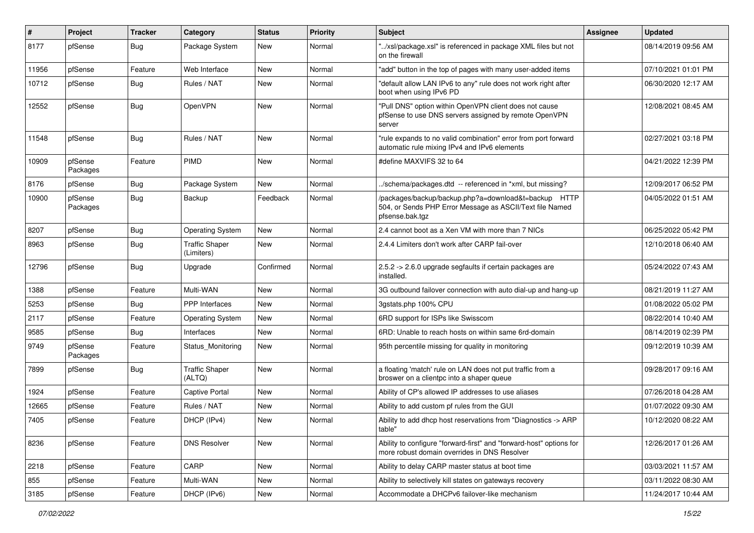| $\sharp$ | Project             | <b>Tracker</b> | Category                            | <b>Status</b> | <b>Priority</b> | <b>Subject</b>                                                                                                                      | <b>Assignee</b> | <b>Updated</b>      |
|----------|---------------------|----------------|-------------------------------------|---------------|-----------------|-------------------------------------------------------------------------------------------------------------------------------------|-----------------|---------------------|
| 8177     | pfSense             | Bug            | Package System                      | New           | Normal          | "/xsl/package.xsl" is referenced in package XML files but not<br>on the firewall                                                    |                 | 08/14/2019 09:56 AM |
| 11956    | pfSense             | Feature        | Web Interface                       | <b>New</b>    | Normal          | "add" button in the top of pages with many user-added items                                                                         |                 | 07/10/2021 01:01 PM |
| 10712    | pfSense             | <b>Bug</b>     | Rules / NAT                         | New           | Normal          | "default allow LAN IPv6 to any" rule does not work right after<br>boot when using IPv6 PD                                           |                 | 06/30/2020 12:17 AM |
| 12552    | pfSense             | Bug            | OpenVPN                             | New           | Normal          | "Pull DNS" option within OpenVPN client does not cause<br>pfSense to use DNS servers assigned by remote OpenVPN<br>server           |                 | 12/08/2021 08:45 AM |
| 11548    | pfSense             | <b>Bug</b>     | Rules / NAT                         | New           | Normal          | "rule expands to no valid combination" error from port forward<br>automatic rule mixing IPv4 and IPv6 elements                      |                 | 02/27/2021 03:18 PM |
| 10909    | pfSense<br>Packages | Feature        | PIMD                                | New           | Normal          | #define MAXVIFS 32 to 64                                                                                                            |                 | 04/21/2022 12:39 PM |
| 8176     | pfSense             | Bug            | Package System                      | <b>New</b>    | Normal          | /schema/packages.dtd -- referenced in *xml, but missing?                                                                            |                 | 12/09/2017 06:52 PM |
| 10900    | pfSense<br>Packages | <b>Bug</b>     | Backup                              | Feedback      | Normal          | /packages/backup/backup.php?a=download&t=backup HTTP<br>504, or Sends PHP Error Message as ASCII/Text file Named<br>pfsense.bak.tgz |                 | 04/05/2022 01:51 AM |
| 8207     | pfSense             | Bug            | <b>Operating System</b>             | New           | Normal          | 2.4 cannot boot as a Xen VM with more than 7 NICs                                                                                   |                 | 06/25/2022 05:42 PM |
| 8963     | pfSense             | Bug            | <b>Traffic Shaper</b><br>(Limiters) | New           | Normal          | 2.4.4 Limiters don't work after CARP fail-over                                                                                      |                 | 12/10/2018 06:40 AM |
| 12796    | pfSense             | Bug            | Upgrade                             | Confirmed     | Normal          | 2.5.2 -> 2.6.0 upgrade segfaults if certain packages are<br>installed.                                                              |                 | 05/24/2022 07:43 AM |
| 1388     | pfSense             | Feature        | Multi-WAN                           | New           | Normal          | 3G outbound failover connection with auto dial-up and hang-up                                                                       |                 | 08/21/2019 11:27 AM |
| 5253     | pfSense             | Bug            | PPP Interfaces                      | New           | Normal          | 3gstats.php 100% CPU                                                                                                                |                 | 01/08/2022 05:02 PM |
| 2117     | pfSense             | Feature        | <b>Operating System</b>             | New           | Normal          | 6RD support for ISPs like Swisscom                                                                                                  |                 | 08/22/2014 10:40 AM |
| 9585     | pfSense             | Bug            | Interfaces                          | New           | Normal          | 6RD: Unable to reach hosts on within same 6rd-domain                                                                                |                 | 08/14/2019 02:39 PM |
| 9749     | pfSense<br>Packages | Feature        | Status_Monitoring                   | New           | Normal          | 95th percentile missing for quality in monitoring                                                                                   |                 | 09/12/2019 10:39 AM |
| 7899     | pfSense             | <b>Bug</b>     | <b>Traffic Shaper</b><br>(ALTQ)     | New           | Normal          | a floating 'match' rule on LAN does not put traffic from a<br>broswer on a clientpc into a shaper queue                             |                 | 09/28/2017 09:16 AM |
| 1924     | pfSense             | Feature        | <b>Captive Portal</b>               | New           | Normal          | Ability of CP's allowed IP addresses to use aliases                                                                                 |                 | 07/26/2018 04:28 AM |
| 12665    | pfSense             | Feature        | Rules / NAT                         | New           | Normal          | Ability to add custom pf rules from the GUI                                                                                         |                 | 01/07/2022 09:30 AM |
| 7405     | pfSense             | Feature        | DHCP (IPv4)                         | New           | Normal          | Ability to add dhcp host reservations from "Diagnostics -> ARP<br>table"                                                            |                 | 10/12/2020 08:22 AM |
| 8236     | pfSense             | Feature        | <b>DNS Resolver</b>                 | New           | Normal          | Ability to configure "forward-first" and "forward-host" options for<br>more robust domain overrides in DNS Resolver                 |                 | 12/26/2017 01:26 AM |
| 2218     | pfSense             | Feature        | CARP                                | New           | Normal          | Ability to delay CARP master status at boot time                                                                                    |                 | 03/03/2021 11:57 AM |
| 855      | pfSense             | Feature        | Multi-WAN                           | New           | Normal          | Ability to selectively kill states on gateways recovery                                                                             |                 | 03/11/2022 08:30 AM |
| 3185     | pfSense             | Feature        | DHCP (IPv6)                         | New           | Normal          | Accommodate a DHCPv6 failover-like mechanism                                                                                        |                 | 11/24/2017 10:44 AM |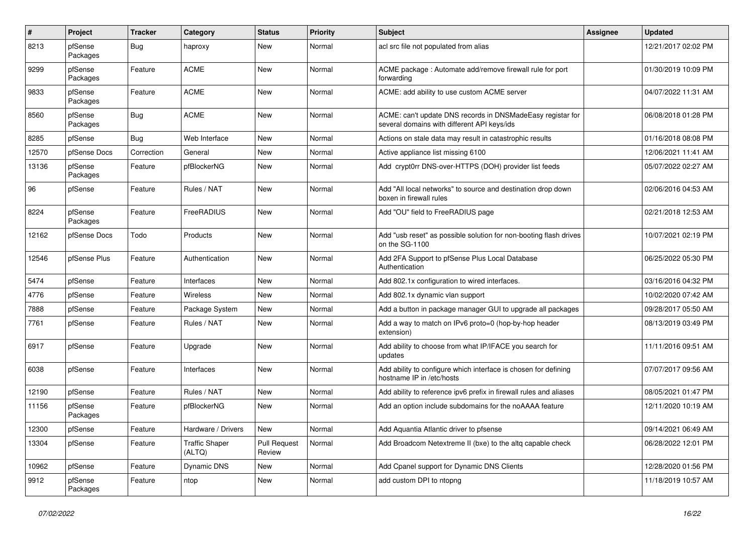| #     | Project             | <b>Tracker</b> | Category                        | <b>Status</b>                 | <b>Priority</b> | <b>Subject</b>                                                                                            | <b>Assignee</b> | <b>Updated</b>      |
|-------|---------------------|----------------|---------------------------------|-------------------------------|-----------------|-----------------------------------------------------------------------------------------------------------|-----------------|---------------------|
| 8213  | pfSense<br>Packages | <b>Bug</b>     | haproxy                         | New                           | Normal          | acl src file not populated from alias                                                                     |                 | 12/21/2017 02:02 PM |
| 9299  | pfSense<br>Packages | Feature        | <b>ACME</b>                     | New                           | Normal          | ACME package: Automate add/remove firewall rule for port<br>forwarding                                    |                 | 01/30/2019 10:09 PM |
| 9833  | pfSense<br>Packages | Feature        | <b>ACME</b>                     | <b>New</b>                    | Normal          | ACME: add ability to use custom ACME server                                                               |                 | 04/07/2022 11:31 AM |
| 8560  | pfSense<br>Packages | Bug            | <b>ACME</b>                     | New                           | Normal          | ACME: can't update DNS records in DNSMadeEasy registar for<br>several domains with different API keys/ids |                 | 06/08/2018 01:28 PM |
| 8285  | pfSense             | Bug            | Web Interface                   | New                           | Normal          | Actions on stale data may result in catastrophic results                                                  |                 | 01/16/2018 08:08 PM |
| 12570 | pfSense Docs        | Correction     | General                         | <b>New</b>                    | Normal          | Active appliance list missing 6100                                                                        |                 | 12/06/2021 11:41 AM |
| 13136 | pfSense<br>Packages | Feature        | pfBlockerNG                     | New                           | Normal          | Add crypt0rr DNS-over-HTTPS (DOH) provider list feeds                                                     |                 | 05/07/2022 02:27 AM |
| 96    | pfSense             | Feature        | Rules / NAT                     | New                           | Normal          | Add "All local networks" to source and destination drop down<br>boxen in firewall rules                   |                 | 02/06/2016 04:53 AM |
| 8224  | pfSense<br>Packages | Feature        | FreeRADIUS                      | New                           | Normal          | Add "OU" field to FreeRADIUS page                                                                         |                 | 02/21/2018 12:53 AM |
| 12162 | pfSense Docs        | Todo           | Products                        | New                           | Normal          | Add "usb reset" as possible solution for non-booting flash drives<br>on the SG-1100                       |                 | 10/07/2021 02:19 PM |
| 12546 | pfSense Plus        | Feature        | Authentication                  | New                           | Normal          | Add 2FA Support to pfSense Plus Local Database<br>Authentication                                          |                 | 06/25/2022 05:30 PM |
| 5474  | pfSense             | Feature        | Interfaces                      | <b>New</b>                    | Normal          | Add 802.1x configuration to wired interfaces.                                                             |                 | 03/16/2016 04:32 PM |
| 4776  | pfSense             | Feature        | Wireless                        | New                           | Normal          | Add 802.1x dynamic vlan support                                                                           |                 | 10/02/2020 07:42 AM |
| 7888  | pfSense             | Feature        | Package System                  | New                           | Normal          | Add a button in package manager GUI to upgrade all packages                                               |                 | 09/28/2017 05:50 AM |
| 7761  | pfSense             | Feature        | Rules / NAT                     | <b>New</b>                    | Normal          | Add a way to match on IPv6 proto=0 (hop-by-hop header<br>extension)                                       |                 | 08/13/2019 03:49 PM |
| 6917  | pfSense             | Feature        | Upgrade                         | New                           | Normal          | Add ability to choose from what IP/IFACE you search for<br>updates                                        |                 | 11/11/2016 09:51 AM |
| 6038  | pfSense             | Feature        | Interfaces                      | New                           | Normal          | Add ability to configure which interface is chosen for defining<br>hostname IP in /etc/hosts              |                 | 07/07/2017 09:56 AM |
| 12190 | pfSense             | Feature        | Rules / NAT                     | New                           | Normal          | Add ability to reference ipv6 prefix in firewall rules and aliases                                        |                 | 08/05/2021 01:47 PM |
| 11156 | pfSense<br>Packages | Feature        | pfBlockerNG                     | New                           | Normal          | Add an option include subdomains for the noAAAA feature                                                   |                 | 12/11/2020 10:19 AM |
| 12300 | pfSense             | Feature        | Hardware / Drivers              | New                           | Normal          | Add Aquantia Atlantic driver to pfsense                                                                   |                 | 09/14/2021 06:49 AM |
| 13304 | pfSense             | Feature        | <b>Traffic Shaper</b><br>(ALTQ) | <b>Pull Request</b><br>Review | Normal          | Add Broadcom Netextreme II (bxe) to the altq capable check                                                |                 | 06/28/2022 12:01 PM |
| 10962 | pfSense             | Feature        | Dynamic DNS                     | New                           | Normal          | Add Cpanel support for Dynamic DNS Clients                                                                |                 | 12/28/2020 01:56 PM |
| 9912  | pfSense<br>Packages | Feature        | ntop                            | New                           | Normal          | add custom DPI to ntopng                                                                                  |                 | 11/18/2019 10:57 AM |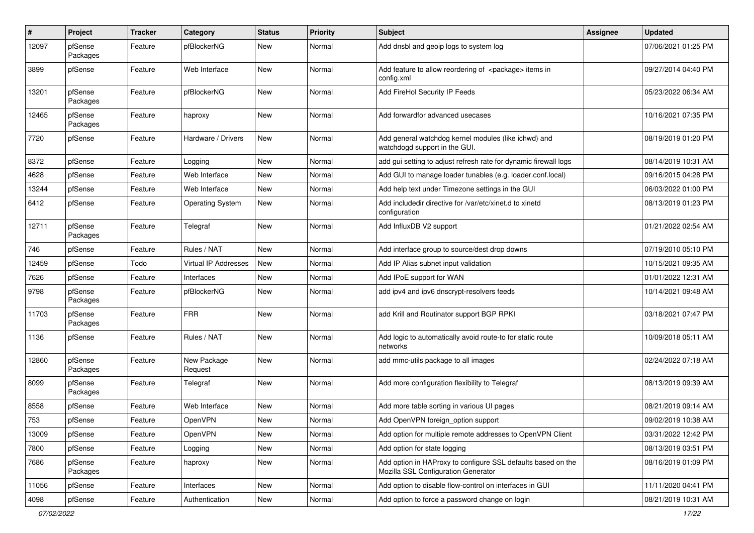| #     | Project             | <b>Tracker</b> | Category                    | <b>Status</b> | <b>Priority</b> | Subject                                                                                             | <b>Assignee</b> | <b>Updated</b>      |
|-------|---------------------|----------------|-----------------------------|---------------|-----------------|-----------------------------------------------------------------------------------------------------|-----------------|---------------------|
| 12097 | pfSense<br>Packages | Feature        | pfBlockerNG                 | New           | Normal          | Add dnsbl and geoip logs to system log                                                              |                 | 07/06/2021 01:25 PM |
| 3899  | pfSense             | Feature        | Web Interface               | New           | Normal          | Add feature to allow reordering of <package> items in<br/>config.xml</package>                      |                 | 09/27/2014 04:40 PM |
| 13201 | pfSense<br>Packages | Feature        | pfBlockerNG                 | New           | Normal          | Add FireHol Security IP Feeds                                                                       |                 | 05/23/2022 06:34 AM |
| 12465 | pfSense<br>Packages | Feature        | haproxy                     | New           | Normal          | Add forwardfor advanced usecases                                                                    |                 | 10/16/2021 07:35 PM |
| 7720  | pfSense             | Feature        | Hardware / Drivers          | New           | Normal          | Add general watchdog kernel modules (like ichwd) and<br>watchdogd support in the GUI.               |                 | 08/19/2019 01:20 PM |
| 8372  | pfSense             | Feature        | Logging                     | New           | Normal          | add gui setting to adjust refresh rate for dynamic firewall logs                                    |                 | 08/14/2019 10:31 AM |
| 4628  | pfSense             | Feature        | Web Interface               | <b>New</b>    | Normal          | Add GUI to manage loader tunables (e.g. loader.conf.local)                                          |                 | 09/16/2015 04:28 PM |
| 13244 | pfSense             | Feature        | Web Interface               | <b>New</b>    | Normal          | Add help text under Timezone settings in the GUI                                                    |                 | 06/03/2022 01:00 PM |
| 6412  | pfSense             | Feature        | <b>Operating System</b>     | New           | Normal          | Add includedir directive for /var/etc/xinet.d to xinetd<br>configuration                            |                 | 08/13/2019 01:23 PM |
| 12711 | pfSense<br>Packages | Feature        | Telegraf                    | <b>New</b>    | Normal          | Add InfluxDB V2 support                                                                             |                 | 01/21/2022 02:54 AM |
| 746   | pfSense             | Feature        | Rules / NAT                 | New           | Normal          | Add interface group to source/dest drop downs                                                       |                 | 07/19/2010 05:10 PM |
| 12459 | pfSense             | Todo           | <b>Virtual IP Addresses</b> | New           | Normal          | Add IP Alias subnet input validation                                                                |                 | 10/15/2021 09:35 AM |
| 7626  | pfSense             | Feature        | Interfaces                  | New           | Normal          | Add IPoE support for WAN                                                                            |                 | 01/01/2022 12:31 AM |
| 9798  | pfSense<br>Packages | Feature        | pfBlockerNG                 | New           | Normal          | add ipv4 and ipv6 dnscrypt-resolvers feeds                                                          |                 | 10/14/2021 09:48 AM |
| 11703 | pfSense<br>Packages | Feature        | <b>FRR</b>                  | New           | Normal          | add Krill and Routinator support BGP RPKI                                                           |                 | 03/18/2021 07:47 PM |
| 1136  | pfSense             | Feature        | Rules / NAT                 | <b>New</b>    | Normal          | Add logic to automatically avoid route-to for static route<br>networks                              |                 | 10/09/2018 05:11 AM |
| 12860 | pfSense<br>Packages | Feature        | New Package<br>Request      | New           | Normal          | add mmc-utils package to all images                                                                 |                 | 02/24/2022 07:18 AM |
| 8099  | pfSense<br>Packages | Feature        | Telegraf                    | <b>New</b>    | Normal          | Add more configuration flexibility to Telegraf                                                      |                 | 08/13/2019 09:39 AM |
| 8558  | pfSense             | Feature        | Web Interface               | New           | Normal          | Add more table sorting in various UI pages                                                          |                 | 08/21/2019 09:14 AM |
| 753   | pfSense             | Feature        | OpenVPN                     | <b>New</b>    | Normal          | Add OpenVPN foreign_option support                                                                  |                 | 09/02/2019 10:38 AM |
| 13009 | pfSense             | Feature        | <b>OpenVPN</b>              | New           | Normal          | Add option for multiple remote addresses to OpenVPN Client                                          |                 | 03/31/2022 12:42 PM |
| 7800  | pfSense             | Feature        | Logging                     | New           | Normal          | Add option for state logging                                                                        |                 | 08/13/2019 03:51 PM |
| 7686  | pfSense<br>Packages | Feature        | haproxy                     | New           | Normal          | Add option in HAProxy to configure SSL defaults based on the<br>Mozilla SSL Configuration Generator |                 | 08/16/2019 01:09 PM |
| 11056 | pfSense             | Feature        | Interfaces                  | New           | Normal          | Add option to disable flow-control on interfaces in GUI                                             |                 | 11/11/2020 04:41 PM |
| 4098  | pfSense             | Feature        | Authentication              | New           | Normal          | Add option to force a password change on login                                                      |                 | 08/21/2019 10:31 AM |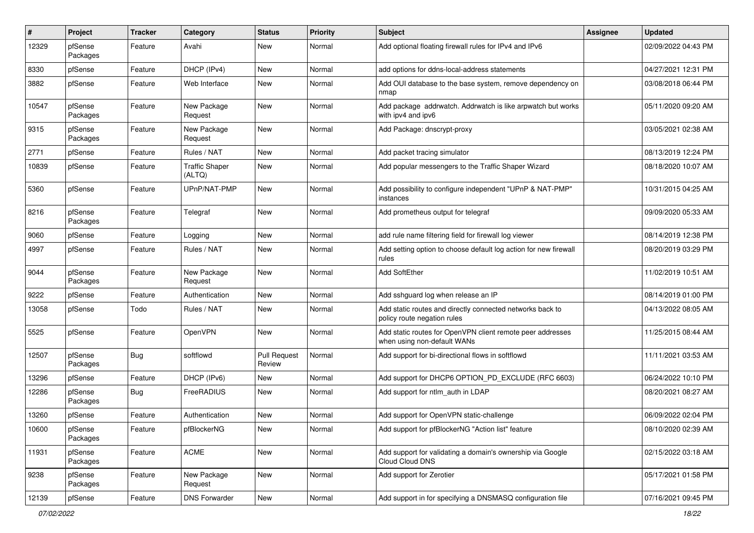| #     | Project             | <b>Tracker</b> | Category                        | <b>Status</b>          | <b>Priority</b> | Subject                                                                                   | <b>Assignee</b> | <b>Updated</b>      |
|-------|---------------------|----------------|---------------------------------|------------------------|-----------------|-------------------------------------------------------------------------------------------|-----------------|---------------------|
| 12329 | pfSense<br>Packages | Feature        | Avahi                           | New                    | Normal          | Add optional floating firewall rules for IPv4 and IPv6                                    |                 | 02/09/2022 04:43 PM |
| 8330  | pfSense             | Feature        | DHCP (IPv4)                     | New                    | Normal          | add options for ddns-local-address statements                                             |                 | 04/27/2021 12:31 PM |
| 3882  | pfSense             | Feature        | Web Interface                   | New                    | Normal          | Add OUI database to the base system, remove dependency on<br>nmap                         |                 | 03/08/2018 06:44 PM |
| 10547 | pfSense<br>Packages | Feature        | New Package<br>Request          | New                    | Normal          | Add package addrwatch. Addrwatch is like arpwatch but works<br>with ipv4 and ipv6         |                 | 05/11/2020 09:20 AM |
| 9315  | pfSense<br>Packages | Feature        | New Package<br>Request          | <b>New</b>             | Normal          | Add Package: dnscrypt-proxy                                                               |                 | 03/05/2021 02:38 AM |
| 2771  | pfSense             | Feature        | Rules / NAT                     | <b>New</b>             | Normal          | Add packet tracing simulator                                                              |                 | 08/13/2019 12:24 PM |
| 10839 | pfSense             | Feature        | <b>Traffic Shaper</b><br>(ALTQ) | New                    | Normal          | Add popular messengers to the Traffic Shaper Wizard                                       |                 | 08/18/2020 10:07 AM |
| 5360  | pfSense             | Feature        | UPnP/NAT-PMP                    | <b>New</b>             | Normal          | Add possibility to configure independent "UPnP & NAT-PMP"<br>instances                    |                 | 10/31/2015 04:25 AM |
| 8216  | pfSense<br>Packages | Feature        | Telegraf                        | New                    | Normal          | Add prometheus output for telegraf                                                        |                 | 09/09/2020 05:33 AM |
| 9060  | pfSense             | Feature        | Logging                         | New                    | Normal          | add rule name filtering field for firewall log viewer                                     |                 | 08/14/2019 12:38 PM |
| 4997  | pfSense             | Feature        | Rules / NAT                     | New                    | Normal          | Add setting option to choose default log action for new firewall<br>rules                 |                 | 08/20/2019 03:29 PM |
| 9044  | pfSense<br>Packages | Feature        | New Package<br>Request          | New                    | Normal          | Add SoftEther                                                                             |                 | 11/02/2019 10:51 AM |
| 9222  | pfSense             | Feature        | Authentication                  | New                    | Normal          | Add sshguard log when release an IP                                                       |                 | 08/14/2019 01:00 PM |
| 13058 | pfSense             | Todo           | Rules / NAT                     | New                    | Normal          | Add static routes and directly connected networks back to<br>policy route negation rules  |                 | 04/13/2022 08:05 AM |
| 5525  | pfSense             | Feature        | OpenVPN                         | New                    | Normal          | Add static routes for OpenVPN client remote peer addresses<br>when using non-default WANs |                 | 11/25/2015 08:44 AM |
| 12507 | pfSense<br>Packages | <b>Bug</b>     | softflowd                       | Pull Request<br>Review | Normal          | Add support for bi-directional flows in softflowd                                         |                 | 11/11/2021 03:53 AM |
| 13296 | pfSense             | Feature        | DHCP (IPv6)                     | New                    | Normal          | Add support for DHCP6 OPTION PD EXCLUDE (RFC 6603)                                        |                 | 06/24/2022 10:10 PM |
| 12286 | pfSense<br>Packages | Bug            | FreeRADIUS                      | New                    | Normal          | Add support for ntlm_auth in LDAP                                                         |                 | 08/20/2021 08:27 AM |
| 13260 | pfSense             | Feature        | Authentication                  | <b>New</b>             | Normal          | Add support for OpenVPN static-challenge                                                  |                 | 06/09/2022 02:04 PM |
| 10600 | pfSense<br>Packages | Feature        | pfBlockerNG                     | New                    | Normal          | Add support for pfBlockerNG "Action list" feature                                         |                 | 08/10/2020 02:39 AM |
| 11931 | pfSense<br>Packages | Feature        | <b>ACME</b>                     | New                    | Normal          | Add support for validating a domain's ownership via Google<br>Cloud Cloud DNS             |                 | 02/15/2022 03:18 AM |
| 9238  | pfSense<br>Packages | Feature        | New Package<br>Request          | New                    | Normal          | Add support for Zerotier                                                                  |                 | 05/17/2021 01:58 PM |
| 12139 | pfSense             | Feature        | <b>DNS Forwarder</b>            | New                    | Normal          | Add support in for specifying a DNSMASQ configuration file                                |                 | 07/16/2021 09:45 PM |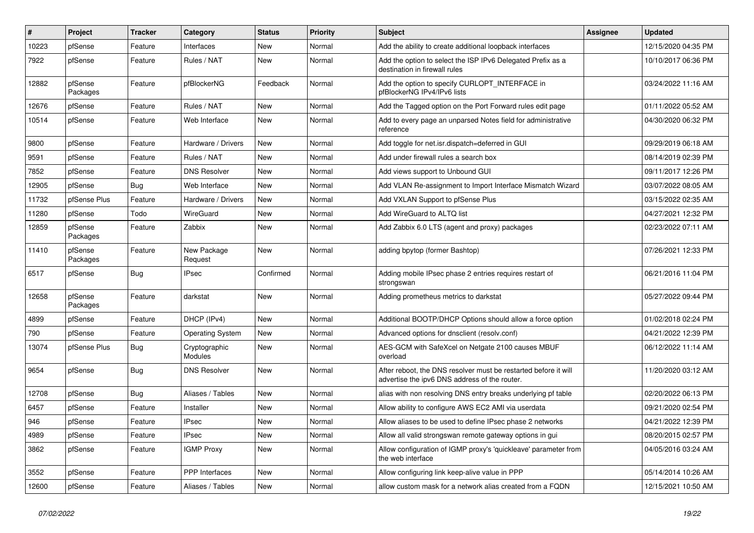| $\sharp$ | Project             | <b>Tracker</b> | Category                 | <b>Status</b> | <b>Priority</b> | Subject                                                                                                          | Assignee | <b>Updated</b>      |
|----------|---------------------|----------------|--------------------------|---------------|-----------------|------------------------------------------------------------------------------------------------------------------|----------|---------------------|
| 10223    | pfSense             | Feature        | Interfaces               | New           | Normal          | Add the ability to create additional loopback interfaces                                                         |          | 12/15/2020 04:35 PM |
| 7922     | pfSense             | Feature        | Rules / NAT              | New           | Normal          | Add the option to select the ISP IPv6 Delegated Prefix as a<br>destination in firewall rules                     |          | 10/10/2017 06:36 PM |
| 12882    | pfSense<br>Packages | Feature        | pfBlockerNG              | Feedback      | Normal          | Add the option to specify CURLOPT_INTERFACE in<br>pfBlockerNG IPv4/IPv6 lists                                    |          | 03/24/2022 11:16 AM |
| 12676    | pfSense             | Feature        | Rules / NAT              | New           | Normal          | Add the Tagged option on the Port Forward rules edit page                                                        |          | 01/11/2022 05:52 AM |
| 10514    | pfSense             | Feature        | Web Interface            | New           | Normal          | Add to every page an unparsed Notes field for administrative<br>reference                                        |          | 04/30/2020 06:32 PM |
| 9800     | pfSense             | Feature        | Hardware / Drivers       | New           | Normal          | Add toggle for net.isr.dispatch=deferred in GUI                                                                  |          | 09/29/2019 06:18 AM |
| 9591     | pfSense             | Feature        | Rules / NAT              | New           | Normal          | Add under firewall rules a search box                                                                            |          | 08/14/2019 02:39 PM |
| 7852     | pfSense             | Feature        | <b>DNS Resolver</b>      | New           | Normal          | Add views support to Unbound GUI                                                                                 |          | 09/11/2017 12:26 PM |
| 12905    | pfSense             | Bug            | Web Interface            | New           | Normal          | Add VLAN Re-assignment to Import Interface Mismatch Wizard                                                       |          | 03/07/2022 08:05 AM |
| 11732    | pfSense Plus        | Feature        | Hardware / Drivers       | New           | Normal          | Add VXLAN Support to pfSense Plus                                                                                |          | 03/15/2022 02:35 AM |
| 11280    | pfSense             | Todo           | WireGuard                | New           | Normal          | Add WireGuard to ALTQ list                                                                                       |          | 04/27/2021 12:32 PM |
| 12859    | pfSense<br>Packages | Feature        | Zabbix                   | New           | Normal          | Add Zabbix 6.0 LTS (agent and proxy) packages                                                                    |          | 02/23/2022 07:11 AM |
| 11410    | pfSense<br>Packages | Feature        | New Package<br>Request   | New           | Normal          | adding bpytop (former Bashtop)                                                                                   |          | 07/26/2021 12:33 PM |
| 6517     | pfSense             | <b>Bug</b>     | <b>IPsec</b>             | Confirmed     | Normal          | Adding mobile IPsec phase 2 entries requires restart of<br>strongswan                                            |          | 06/21/2016 11:04 PM |
| 12658    | pfSense<br>Packages | Feature        | darkstat                 | <b>New</b>    | Normal          | Adding prometheus metrics to darkstat                                                                            |          | 05/27/2022 09:44 PM |
| 4899     | pfSense             | Feature        | DHCP (IPv4)              | New           | Normal          | Additional BOOTP/DHCP Options should allow a force option                                                        |          | 01/02/2018 02:24 PM |
| 790      | pfSense             | Feature        | <b>Operating System</b>  | New           | Normal          | Advanced options for dnsclient (resolv.conf)                                                                     |          | 04/21/2022 12:39 PM |
| 13074    | pfSense Plus        | <b>Bug</b>     | Cryptographic<br>Modules | New           | Normal          | AES-GCM with SafeXcel on Netgate 2100 causes MBUF<br>overload                                                    |          | 06/12/2022 11:14 AM |
| 9654     | pfSense             | <b>Bug</b>     | <b>DNS Resolver</b>      | New           | Normal          | After reboot, the DNS resolver must be restarted before it will<br>advertise the ipv6 DNS address of the router. |          | 11/20/2020 03:12 AM |
| 12708    | pfSense             | Bug            | Aliases / Tables         | New           | Normal          | alias with non resolving DNS entry breaks underlying pf table                                                    |          | 02/20/2022 06:13 PM |
| 6457     | pfSense             | Feature        | Installer                | New           | Normal          | Allow ability to configure AWS EC2 AMI via userdata                                                              |          | 09/21/2020 02:54 PM |
| 946      | pfSense             | Feature        | <b>IPsec</b>             | New           | Normal          | Allow aliases to be used to define IPsec phase 2 networks                                                        |          | 04/21/2022 12:39 PM |
| 4989     | pfSense             | Feature        | <b>IPsec</b>             | New           | Normal          | Allow all valid strongswan remote gateway options in gui                                                         |          | 08/20/2015 02:57 PM |
| 3862     | pfSense             | Feature        | <b>IGMP Proxy</b>        | New           | Normal          | Allow configuration of IGMP proxy's 'quickleave' parameter from<br>the web interface                             |          | 04/05/2016 03:24 AM |
| 3552     | pfSense             | Feature        | <b>PPP</b> Interfaces    | New           | Normal          | Allow configuring link keep-alive value in PPP                                                                   |          | 05/14/2014 10:26 AM |
| 12600    | pfSense             | Feature        | Aliases / Tables         | New           | Normal          | allow custom mask for a network alias created from a FQDN                                                        |          | 12/15/2021 10:50 AM |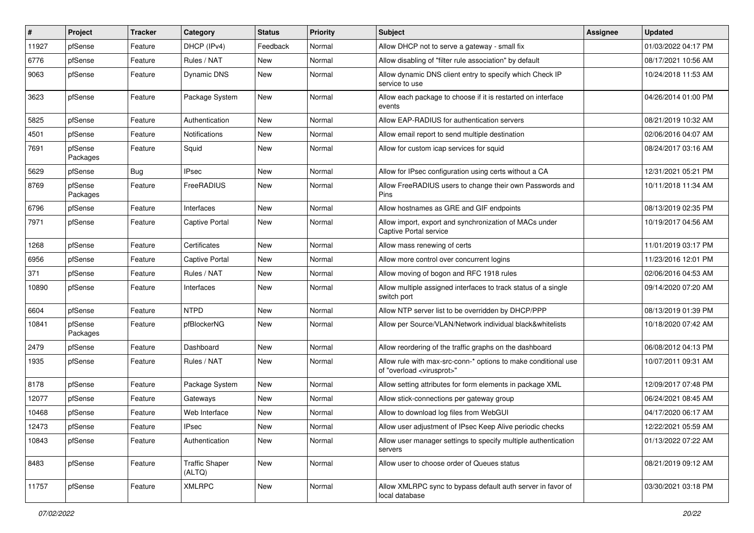| $\sharp$ | Project             | <b>Tracker</b> | Category                        | <b>Status</b> | <b>Priority</b> | Subject                                                                                                 | <b>Assignee</b> | <b>Updated</b>      |
|----------|---------------------|----------------|---------------------------------|---------------|-----------------|---------------------------------------------------------------------------------------------------------|-----------------|---------------------|
| 11927    | pfSense             | Feature        | DHCP (IPv4)                     | Feedback      | Normal          | Allow DHCP not to serve a gateway - small fix                                                           |                 | 01/03/2022 04:17 PM |
| 6776     | pfSense             | Feature        | Rules / NAT                     | New           | Normal          | Allow disabling of "filter rule association" by default                                                 |                 | 08/17/2021 10:56 AM |
| 9063     | pfSense             | Feature        | Dynamic DNS                     | New           | Normal          | Allow dynamic DNS client entry to specify which Check IP<br>service to use                              |                 | 10/24/2018 11:53 AM |
| 3623     | pfSense             | Feature        | Package System                  | New           | Normal          | Allow each package to choose if it is restarted on interface<br>events                                  |                 | 04/26/2014 01:00 PM |
| 5825     | pfSense             | Feature        | Authentication                  | New           | Normal          | Allow EAP-RADIUS for authentication servers                                                             |                 | 08/21/2019 10:32 AM |
| 4501     | pfSense             | Feature        | Notifications                   | New           | Normal          | Allow email report to send multiple destination                                                         |                 | 02/06/2016 04:07 AM |
| 7691     | pfSense<br>Packages | Feature        | Squid                           | New           | Normal          | Allow for custom icap services for squid                                                                |                 | 08/24/2017 03:16 AM |
| 5629     | pfSense             | Bug            | <b>IPsec</b>                    | New           | Normal          | Allow for IPsec configuration using certs without a CA                                                  |                 | 12/31/2021 05:21 PM |
| 8769     | pfSense<br>Packages | Feature        | FreeRADIUS                      | New           | Normal          | Allow FreeRADIUS users to change their own Passwords and<br>Pins                                        |                 | 10/11/2018 11:34 AM |
| 6796     | pfSense             | Feature        | Interfaces                      | New           | Normal          | Allow hostnames as GRE and GIF endpoints                                                                |                 | 08/13/2019 02:35 PM |
| 7971     | pfSense             | Feature        | <b>Captive Portal</b>           | New           | Normal          | Allow import, export and synchronization of MACs under<br><b>Captive Portal service</b>                 |                 | 10/19/2017 04:56 AM |
| 1268     | pfSense             | Feature        | Certificates                    | New           | Normal          | Allow mass renewing of certs                                                                            |                 | 11/01/2019 03:17 PM |
| 6956     | pfSense             | Feature        | <b>Captive Portal</b>           | New           | Normal          | Allow more control over concurrent logins                                                               |                 | 11/23/2016 12:01 PM |
| 371      | pfSense             | Feature        | Rules / NAT                     | New           | Normal          | Allow moving of bogon and RFC 1918 rules                                                                |                 | 02/06/2016 04:53 AM |
| 10890    | pfSense             | Feature        | Interfaces                      | New           | Normal          | Allow multiple assigned interfaces to track status of a single<br>switch port                           |                 | 09/14/2020 07:20 AM |
| 6604     | pfSense             | Feature        | <b>NTPD</b>                     | New           | Normal          | Allow NTP server list to be overridden by DHCP/PPP                                                      |                 | 08/13/2019 01:39 PM |
| 10841    | pfSense<br>Packages | Feature        | pfBlockerNG                     | New           | Normal          | Allow per Source/VLAN/Network individual black&whitelists                                               |                 | 10/18/2020 07:42 AM |
| 2479     | pfSense             | Feature        | Dashboard                       | New           | Normal          | Allow reordering of the traffic graphs on the dashboard                                                 |                 | 06/08/2012 04:13 PM |
| 1935     | pfSense             | Feature        | Rules / NAT                     | New           | Normal          | Allow rule with max-src-conn-* options to make conditional use<br>of "overload <virusprot>"</virusprot> |                 | 10/07/2011 09:31 AM |
| 8178     | pfSense             | Feature        | Package System                  | <b>New</b>    | Normal          | Allow setting attributes for form elements in package XML                                               |                 | 12/09/2017 07:48 PM |
| 12077    | pfSense             | Feature        | Gateways                        | <b>New</b>    | Normal          | Allow stick-connections per gateway group                                                               |                 | 06/24/2021 08:45 AM |
| 10468    | pfSense             | Feature        | Web Interface                   | New           | Normal          | Allow to download log files from WebGUI                                                                 |                 | 04/17/2020 06:17 AM |
| 12473    | pfSense             | Feature        | <b>IPsec</b>                    | New           | Normal          | Allow user adjustment of IPsec Keep Alive periodic checks                                               |                 | 12/22/2021 05:59 AM |
| 10843    | pfSense             | Feature        | Authentication                  | New           | Normal          | Allow user manager settings to specify multiple authentication<br>servers                               |                 | 01/13/2022 07:22 AM |
| 8483     | pfSense             | Feature        | <b>Traffic Shaper</b><br>(ALTQ) | New           | Normal          | Allow user to choose order of Queues status                                                             |                 | 08/21/2019 09:12 AM |
| 11757    | pfSense             | Feature        | <b>XMLRPC</b>                   | New           | Normal          | Allow XMLRPC sync to bypass default auth server in favor of<br>local database                           |                 | 03/30/2021 03:18 PM |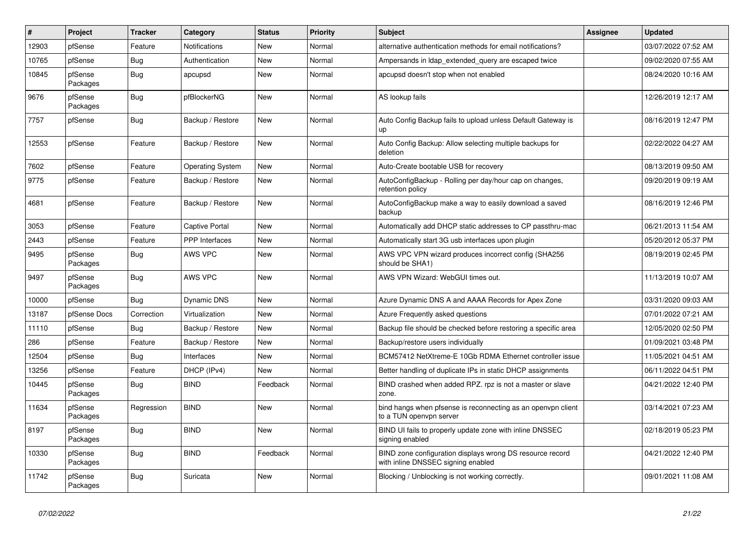| #     | Project             | <b>Tracker</b> | Category                | <b>Status</b> | <b>Priority</b> | <b>Subject</b>                                                                                  | <b>Assignee</b> | <b>Updated</b>      |
|-------|---------------------|----------------|-------------------------|---------------|-----------------|-------------------------------------------------------------------------------------------------|-----------------|---------------------|
| 12903 | pfSense             | Feature        | <b>Notifications</b>    | New           | Normal          | alternative authentication methods for email notifications?                                     |                 | 03/07/2022 07:52 AM |
| 10765 | pfSense             | Bug            | Authentication          | New           | Normal          | Ampersands in Idap extended query are escaped twice                                             |                 | 09/02/2020 07:55 AM |
| 10845 | pfSense<br>Packages | <b>Bug</b>     | apcupsd                 | New           | Normal          | apcupsd doesn't stop when not enabled                                                           |                 | 08/24/2020 10:16 AM |
| 9676  | pfSense<br>Packages | Bug            | pfBlockerNG             | New           | Normal          | AS lookup fails                                                                                 |                 | 12/26/2019 12:17 AM |
| 7757  | pfSense             | Bug            | Backup / Restore        | New           | Normal          | Auto Config Backup fails to upload unless Default Gateway is<br>up                              |                 | 08/16/2019 12:47 PM |
| 12553 | pfSense             | Feature        | Backup / Restore        | New           | Normal          | Auto Config Backup: Allow selecting multiple backups for<br>deletion                            |                 | 02/22/2022 04:27 AM |
| 7602  | pfSense             | Feature        | <b>Operating System</b> | New           | Normal          | Auto-Create bootable USB for recovery                                                           |                 | 08/13/2019 09:50 AM |
| 9775  | pfSense             | Feature        | Backup / Restore        | New           | Normal          | AutoConfigBackup - Rolling per day/hour cap on changes,<br>retention policy                     |                 | 09/20/2019 09:19 AM |
| 4681  | pfSense             | Feature        | Backup / Restore        | New           | Normal          | AutoConfigBackup make a way to easily download a saved<br>backup                                |                 | 08/16/2019 12:46 PM |
| 3053  | pfSense             | Feature        | Captive Portal          | New           | Normal          | Automatically add DHCP static addresses to CP passthru-mac                                      |                 | 06/21/2013 11:54 AM |
| 2443  | pfSense             | Feature        | <b>PPP</b> Interfaces   | New           | Normal          | Automatically start 3G usb interfaces upon plugin                                               |                 | 05/20/2012 05:37 PM |
| 9495  | pfSense<br>Packages | Bug            | <b>AWS VPC</b>          | New           | Normal          | AWS VPC VPN wizard produces incorrect config (SHA256<br>should be SHA1)                         |                 | 08/19/2019 02:45 PM |
| 9497  | pfSense<br>Packages | Bug            | <b>AWS VPC</b>          | New           | Normal          | AWS VPN Wizard: WebGUI times out.                                                               |                 | 11/13/2019 10:07 AM |
| 10000 | pfSense             | Bug            | <b>Dynamic DNS</b>      | New           | Normal          | Azure Dynamic DNS A and AAAA Records for Apex Zone                                              |                 | 03/31/2020 09:03 AM |
| 13187 | pfSense Docs        | Correction     | Virtualization          | <b>New</b>    | Normal          | Azure Frequently asked questions                                                                |                 | 07/01/2022 07:21 AM |
| 11110 | pfSense             | Bug            | Backup / Restore        | New           | Normal          | Backup file should be checked before restoring a specific area                                  |                 | 12/05/2020 02:50 PM |
| 286   | pfSense             | Feature        | Backup / Restore        | New           | Normal          | Backup/restore users individually                                                               |                 | 01/09/2021 03:48 PM |
| 12504 | pfSense             | Bug            | Interfaces              | <b>New</b>    | Normal          | BCM57412 NetXtreme-E 10Gb RDMA Ethernet controller issue                                        |                 | 11/05/2021 04:51 AM |
| 13256 | pfSense             | Feature        | DHCP (IPv4)             | New           | Normal          | Better handling of duplicate IPs in static DHCP assignments                                     |                 | 06/11/2022 04:51 PM |
| 10445 | pfSense<br>Packages | <b>Bug</b>     | <b>BIND</b>             | Feedback      | Normal          | BIND crashed when added RPZ. rpz is not a master or slave<br>zone.                              |                 | 04/21/2022 12:40 PM |
| 11634 | pfSense<br>Packages | Regression     | <b>BIND</b>             | New           | Normal          | bind hangs when pfsense is reconnecting as an openypn client<br>to a TUN openvpn server         |                 | 03/14/2021 07:23 AM |
| 8197  | pfSense<br>Packages | Bug            | <b>BIND</b>             | New           | Normal          | BIND UI fails to properly update zone with inline DNSSEC<br>signing enabled                     |                 | 02/18/2019 05:23 PM |
| 10330 | pfSense<br>Packages | Bug            | <b>BIND</b>             | Feedback      | Normal          | BIND zone configuration displays wrong DS resource record<br>with inline DNSSEC signing enabled |                 | 04/21/2022 12:40 PM |
| 11742 | pfSense<br>Packages | Bug            | Suricata                | New           | Normal          | Blocking / Unblocking is not working correctly.                                                 |                 | 09/01/2021 11:08 AM |